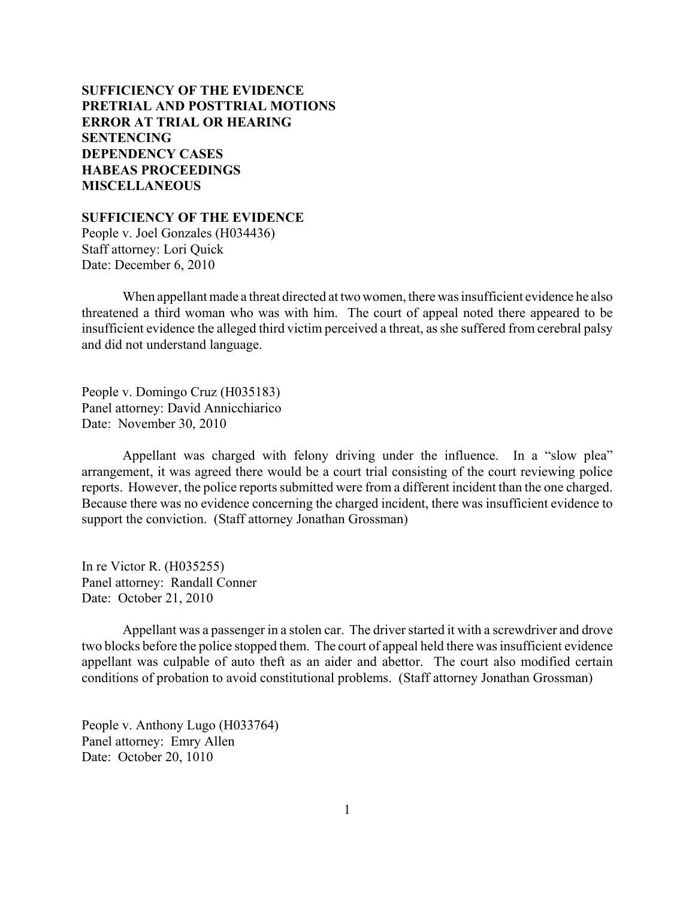# **SUFFICIENCY OF THE EVIDENCE [PRETRIAL AND POSTTRIAL MOTIONS](#page-2-0) [ERROR AT TRIAL OR HEARING](#page-6-0) [SENTENCING](#page-10-0) [DEPENDENCY CASES](#page-30-0) [HABEAS PROCEEDINGS](#page-32-0) [MISCELLANEOUS](#page-35-0)**

**SUFFICIENCY OF THE EVIDENCE**

People v. Joel Gonzales (H034436) Staff attorney: Lori Quick Date: December 6, 2010

When appellant made a threat directed at two women, there was insufficient evidence he also threatened a third woman who was with him. The court of appeal noted there appeared to be insufficient evidence the alleged third victim perceived a threat, as she suffered from cerebral palsy and did not understand language.

People v. Domingo Cruz (H035183) Panel attorney: David Annicchiarico Date: November 30, 2010

Appellant was charged with felony driving under the influence. In a "slow plea" arrangement, it was agreed there would be a court trial consisting of the court reviewing police reports. However, the police reports submitted were from a different incident than the one charged. Because there was no evidence concerning the charged incident, there was insufficient evidence to support the conviction. (Staff attorney Jonathan Grossman)

In re Victor R. (H035255) Panel attorney: Randall Conner Date: October 21, 2010

Appellant was a passenger in a stolen car. The driver started it with a screwdriver and drove two blocks before the police stopped them. The court of appeal held there was insufficient evidence appellant was culpable of auto theft as an aider and abettor. The court also modified certain conditions of probation to avoid constitutional problems. (Staff attorney Jonathan Grossman)

People v. Anthony Lugo (H033764) Panel attorney: Emry Allen Date: October 20, 1010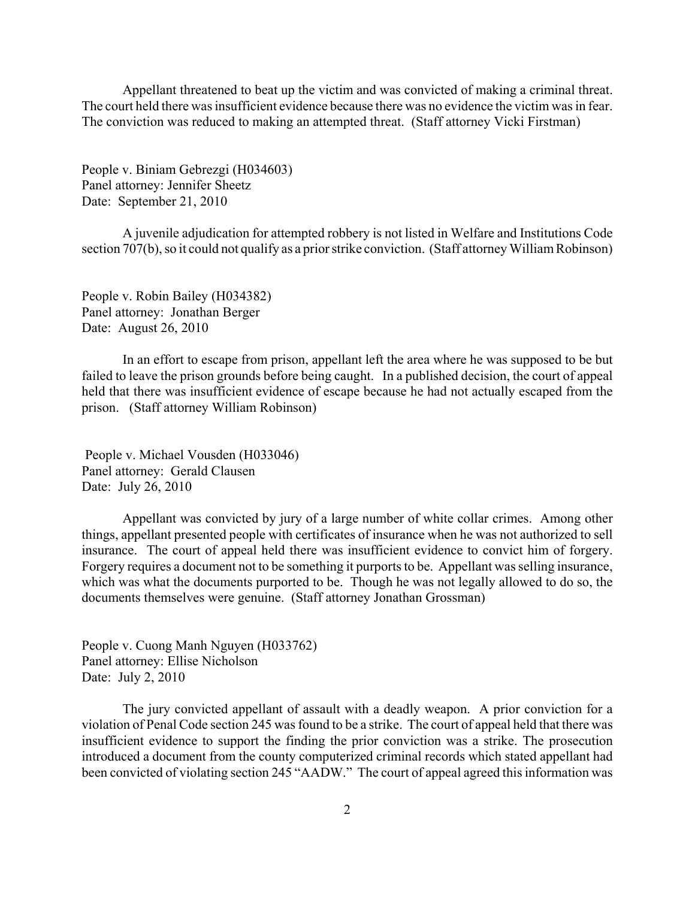Appellant threatened to beat up the victim and was convicted of making a criminal threat. The court held there was insufficient evidence because there was no evidence the victim was in fear. The conviction was reduced to making an attempted threat. (Staff attorney Vicki Firstman)

People v. Biniam Gebrezgi (H034603) Panel attorney: Jennifer Sheetz Date: September 21, 2010

A juvenile adjudication for attempted robbery is not listed in Welfare and Institutions Code section 707(b), so it could not qualify as a prior strike conviction. (Staff attorney William Robinson)

People v. Robin Bailey (H034382) Panel attorney: Jonathan Berger Date: August 26, 2010

In an effort to escape from prison, appellant left the area where he was supposed to be but failed to leave the prison grounds before being caught. In a published decision, the court of appeal held that there was insufficient evidence of escape because he had not actually escaped from the prison. (Staff attorney William Robinson)

 People v. Michael Vousden (H033046) Panel attorney: Gerald Clausen Date: July 26, 2010

Appellant was convicted by jury of a large number of white collar crimes. Among other things, appellant presented people with certificates of insurance when he was not authorized to sell insurance. The court of appeal held there was insufficient evidence to convict him of forgery. Forgery requires a document not to be something it purports to be. Appellant was selling insurance, which was what the documents purported to be. Though he was not legally allowed to do so, the documents themselves were genuine. (Staff attorney Jonathan Grossman)

People v. Cuong Manh Nguyen (H033762) Panel attorney: Ellise Nicholson Date: July 2, 2010

The jury convicted appellant of assault with a deadly weapon. A prior conviction for a violation of Penal Code section 245 was found to be a strike. The court of appeal held that there was insufficient evidence to support the finding the prior conviction was a strike. The prosecution introduced a document from the county computerized criminal records which stated appellant had been convicted of violating section 245 "AADW." The court of appeal agreed this information was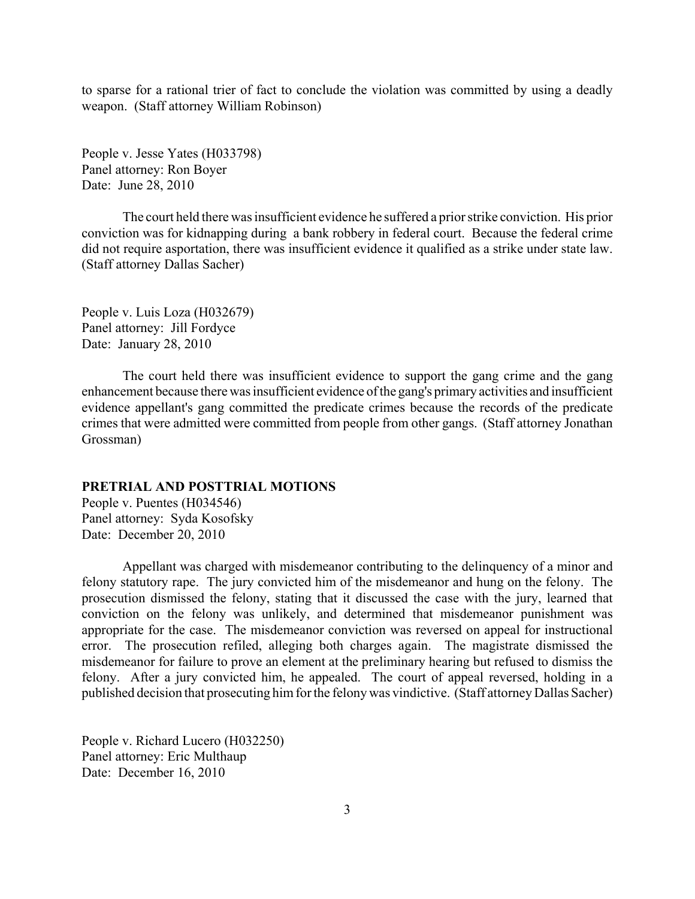<span id="page-2-0"></span>to sparse for a rational trier of fact to conclude the violation was committed by using a deadly weapon. (Staff attorney William Robinson)

People v. Jesse Yates (H033798) Panel attorney: Ron Boyer Date: June 28, 2010

The court held there was insufficient evidence he suffered a prior strike conviction. His prior conviction was for kidnapping during a bank robbery in federal court. Because the federal crime did not require asportation, there was insufficient evidence it qualified as a strike under state law. (Staff attorney Dallas Sacher)

People v. Luis Loza (H032679) Panel attorney: Jill Fordyce Date: January 28, 2010

The court held there was insufficient evidence to support the gang crime and the gang enhancement because there was insufficient evidence of the gang's primary activities and insufficient evidence appellant's gang committed the predicate crimes because the records of the predicate crimes that were admitted were committed from people from other gangs. (Staff attorney Jonathan Grossman)

### **PRETRIAL AND POSTTRIAL MOTIONS**

People v. Puentes (H034546) Panel attorney: Syda Kosofsky Date: December 20, 2010

Appellant was charged with misdemeanor contributing to the delinquency of a minor and felony statutory rape. The jury convicted him of the misdemeanor and hung on the felony. The prosecution dismissed the felony, stating that it discussed the case with the jury, learned that conviction on the felony was unlikely, and determined that misdemeanor punishment was appropriate for the case. The misdemeanor conviction was reversed on appeal for instructional error. The prosecution refiled, alleging both charges again. The magistrate dismissed the misdemeanor for failure to prove an element at the preliminary hearing but refused to dismiss the felony. After a jury convicted him, he appealed. The court of appeal reversed, holding in a published decision that prosecuting him for the felony was vindictive. (Staff attorney Dallas Sacher)

People v. Richard Lucero (H032250) Panel attorney: Eric Multhaup Date: December 16, 2010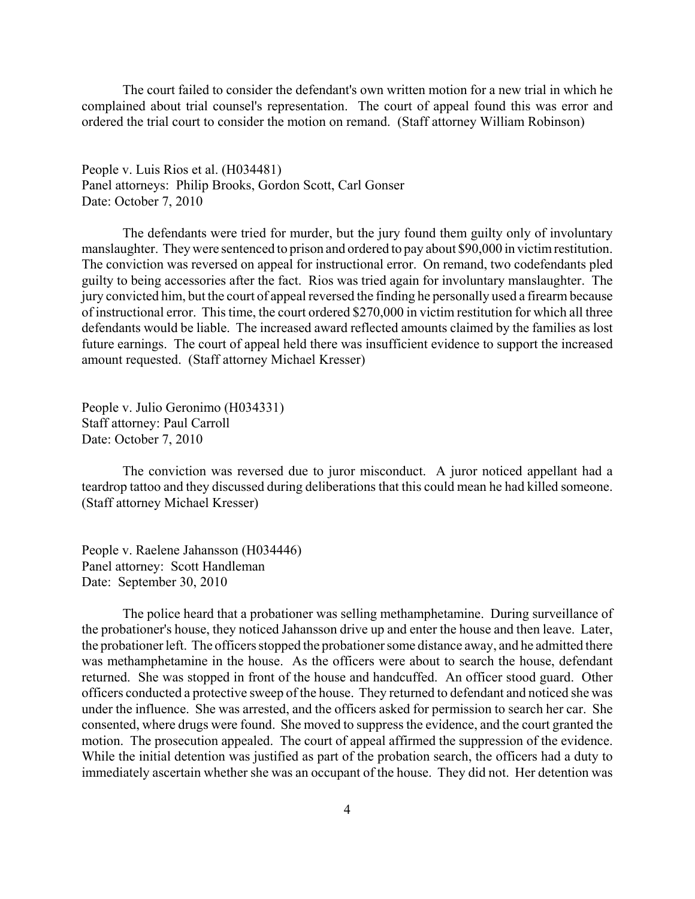The court failed to consider the defendant's own written motion for a new trial in which he complained about trial counsel's representation. The court of appeal found this was error and ordered the trial court to consider the motion on remand. (Staff attorney William Robinson)

People v. Luis Rios et al. (H034481) Panel attorneys: Philip Brooks, Gordon Scott, Carl Gonser Date: October 7, 2010

The defendants were tried for murder, but the jury found them guilty only of involuntary manslaughter. They were sentenced to prison and ordered to pay about \$90,000 in victim restitution. The conviction was reversed on appeal for instructional error. On remand, two codefendants pled guilty to being accessories after the fact. Rios was tried again for involuntary manslaughter. The jury convicted him, but the court of appeal reversed the finding he personally used a firearm because of instructional error. This time, the court ordered \$270,000 in victim restitution for which all three defendants would be liable. The increased award reflected amounts claimed by the families as lost future earnings. The court of appeal held there was insufficient evidence to support the increased amount requested. (Staff attorney Michael Kresser)

People v. Julio Geronimo (H034331) Staff attorney: Paul Carroll Date: October 7, 2010

The conviction was reversed due to juror misconduct. A juror noticed appellant had a teardrop tattoo and they discussed during deliberations that this could mean he had killed someone. (Staff attorney Michael Kresser)

People v. Raelene Jahansson (H034446) Panel attorney: Scott Handleman Date: September 30, 2010

The police heard that a probationer was selling methamphetamine. During surveillance of the probationer's house, they noticed Jahansson drive up and enter the house and then leave. Later, the probationer left. The officers stopped the probationer some distance away, and he admitted there was methamphetamine in the house. As the officers were about to search the house, defendant returned. She was stopped in front of the house and handcuffed. An officer stood guard. Other officers conducted a protective sweep of the house. They returned to defendant and noticed she was under the influence. She was arrested, and the officers asked for permission to search her car. She consented, where drugs were found. She moved to suppress the evidence, and the court granted the motion. The prosecution appealed. The court of appeal affirmed the suppression of the evidence. While the initial detention was justified as part of the probation search, the officers had a duty to immediately ascertain whether she was an occupant of the house. They did not. Her detention was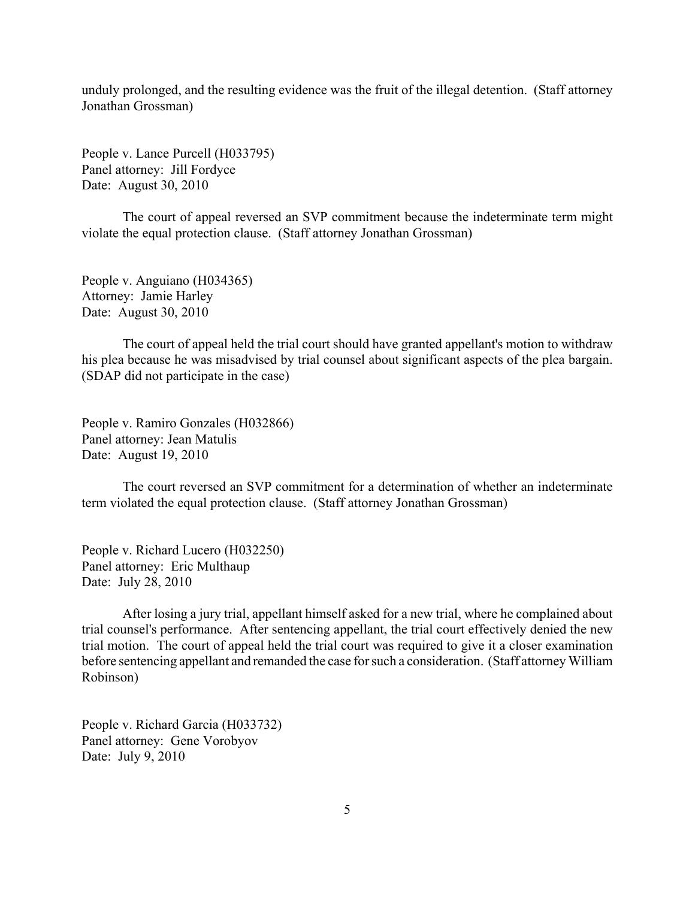unduly prolonged, and the resulting evidence was the fruit of the illegal detention. (Staff attorney Jonathan Grossman)

People v. Lance Purcell (H033795) Panel attorney: Jill Fordyce Date: August 30, 2010

The court of appeal reversed an SVP commitment because the indeterminate term might violate the equal protection clause. (Staff attorney Jonathan Grossman)

People v. Anguiano (H034365) Attorney: Jamie Harley Date: August 30, 2010

The court of appeal held the trial court should have granted appellant's motion to withdraw his plea because he was misadvised by trial counsel about significant aspects of the plea bargain. (SDAP did not participate in the case)

People v. Ramiro Gonzales (H032866) Panel attorney: Jean Matulis Date: August 19, 2010

The court reversed an SVP commitment for a determination of whether an indeterminate term violated the equal protection clause. (Staff attorney Jonathan Grossman)

People v. Richard Lucero (H032250) Panel attorney: Eric Multhaup Date: July 28, 2010

After losing a jury trial, appellant himself asked for a new trial, where he complained about trial counsel's performance. After sentencing appellant, the trial court effectively denied the new trial motion. The court of appeal held the trial court was required to give it a closer examination before sentencing appellant and remanded the case for such a consideration. (Staff attorney William Robinson)

People v. Richard Garcia (H033732) Panel attorney: Gene Vorobyov Date: July 9, 2010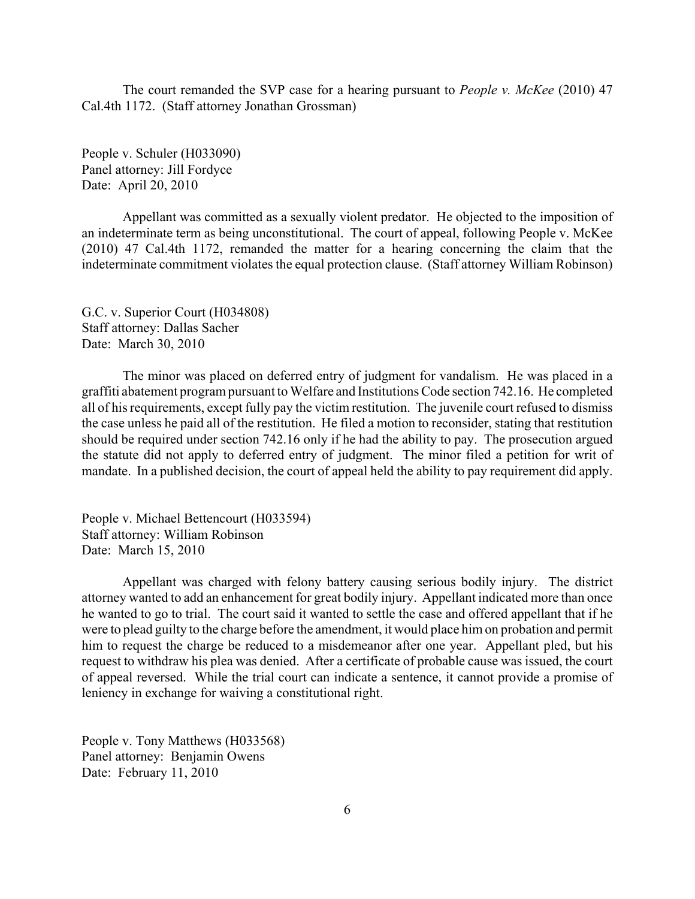The court remanded the SVP case for a hearing pursuant to *People v. McKee* (2010) 47 Cal.4th 1172. (Staff attorney Jonathan Grossman)

People v. Schuler (H033090) Panel attorney: Jill Fordyce Date: April 20, 2010

Appellant was committed as a sexually violent predator. He objected to the imposition of an indeterminate term as being unconstitutional. The court of appeal, following People v. McKee (2010) 47 Cal.4th 1172, remanded the matter for a hearing concerning the claim that the indeterminate commitment violates the equal protection clause. (Staff attorney William Robinson)

G.C. v. Superior Court (H034808) Staff attorney: Dallas Sacher Date: March 30, 2010

The minor was placed on deferred entry of judgment for vandalism. He was placed in a graffiti abatement program pursuant to Welfare and Institutions Code section 742.16. He completed all of his requirements, except fully pay the victim restitution. The juvenile court refused to dismiss the case unless he paid all of the restitution. He filed a motion to reconsider, stating that restitution should be required under section 742.16 only if he had the ability to pay. The prosecution argued the statute did not apply to deferred entry of judgment. The minor filed a petition for writ of mandate. In a published decision, the court of appeal held the ability to pay requirement did apply.

People v. Michael Bettencourt (H033594) Staff attorney: William Robinson Date: March 15, 2010

Appellant was charged with felony battery causing serious bodily injury. The district attorney wanted to add an enhancement for great bodily injury. Appellant indicated more than once he wanted to go to trial. The court said it wanted to settle the case and offered appellant that if he were to plead guilty to the charge before the amendment, it would place him on probation and permit him to request the charge be reduced to a misdemeanor after one year. Appellant pled, but his request to withdraw his plea was denied. After a certificate of probable cause was issued, the court of appeal reversed. While the trial court can indicate a sentence, it cannot provide a promise of leniency in exchange for waiving a constitutional right.

People v. Tony Matthews (H033568) Panel attorney: Benjamin Owens Date: February 11, 2010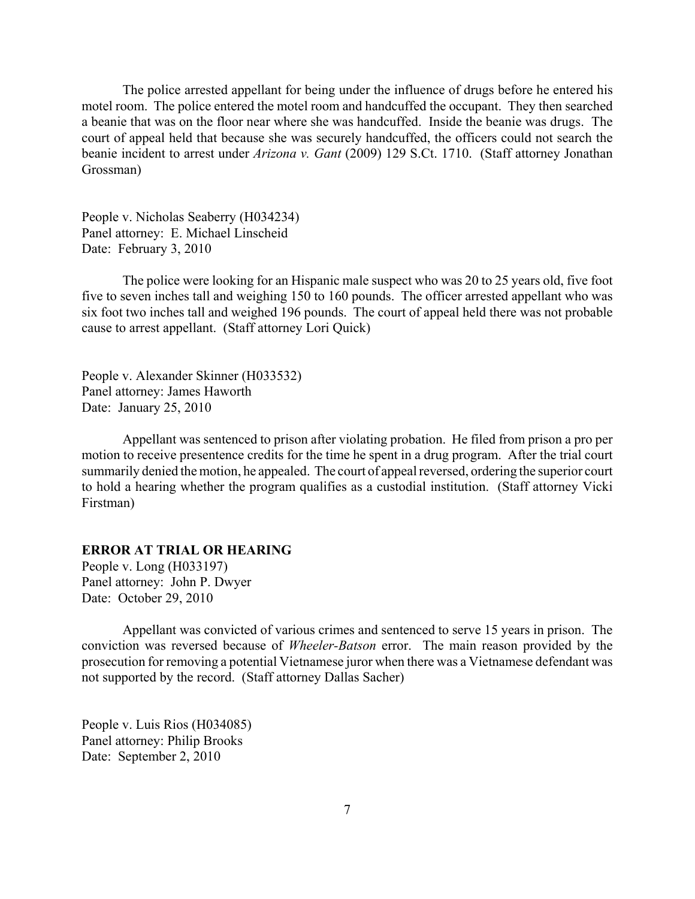<span id="page-6-0"></span>The police arrested appellant for being under the influence of drugs before he entered his motel room. The police entered the motel room and handcuffed the occupant. They then searched a beanie that was on the floor near where she was handcuffed. Inside the beanie was drugs. The court of appeal held that because she was securely handcuffed, the officers could not search the beanie incident to arrest under *Arizona v. Gant* (2009) 129 S.Ct. 1710. (Staff attorney Jonathan Grossman)

People v. Nicholas Seaberry (H034234) Panel attorney: E. Michael Linscheid Date: February 3, 2010

The police were looking for an Hispanic male suspect who was 20 to 25 years old, five foot five to seven inches tall and weighing 150 to 160 pounds. The officer arrested appellant who was six foot two inches tall and weighed 196 pounds. The court of appeal held there was not probable cause to arrest appellant. (Staff attorney Lori Quick)

People v. Alexander Skinner (H033532) Panel attorney: James Haworth Date: January 25, 2010

Appellant was sentenced to prison after violating probation. He filed from prison a pro per motion to receive presentence credits for the time he spent in a drug program. After the trial court summarily denied the motion, he appealed. The court of appeal reversed, ordering the superior court to hold a hearing whether the program qualifies as a custodial institution. (Staff attorney Vicki Firstman)

## **ERROR AT TRIAL OR HEARING**

People v. Long (H033197) Panel attorney: John P. Dwyer Date: October 29, 2010

Appellant was convicted of various crimes and sentenced to serve 15 years in prison. The conviction was reversed because of *Wheeler-Batson* error. The main reason provided by the prosecution for removing a potential Vietnamese juror when there was a Vietnamese defendant was not supported by the record. (Staff attorney Dallas Sacher)

People v. Luis Rios (H034085) Panel attorney: Philip Brooks Date: September 2, 2010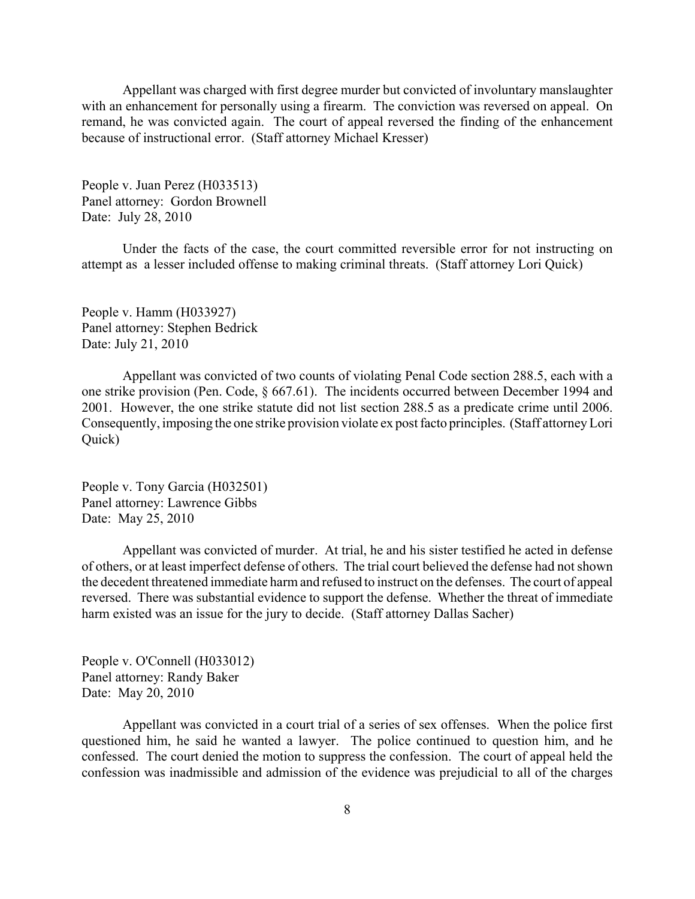Appellant was charged with first degree murder but convicted of involuntary manslaughter with an enhancement for personally using a firearm. The conviction was reversed on appeal. On remand, he was convicted again. The court of appeal reversed the finding of the enhancement because of instructional error. (Staff attorney Michael Kresser)

People v. Juan Perez (H033513) Panel attorney: Gordon Brownell Date: July 28, 2010

Under the facts of the case, the court committed reversible error for not instructing on attempt as a lesser included offense to making criminal threats. (Staff attorney Lori Quick)

People v. Hamm (H033927) Panel attorney: Stephen Bedrick Date: July 21, 2010

Appellant was convicted of two counts of violating Penal Code section 288.5, each with a one strike provision (Pen. Code, § 667.61). The incidents occurred between December 1994 and 2001. However, the one strike statute did not list section 288.5 as a predicate crime until 2006. Consequently, imposing the one strike provision violate ex post facto principles. (Staff attorney Lori Quick)

People v. Tony Garcia (H032501) Panel attorney: Lawrence Gibbs Date: May 25, 2010

Appellant was convicted of murder. At trial, he and his sister testified he acted in defense of others, or at least imperfect defense of others. The trial court believed the defense had not shown the decedent threatened immediate harm and refused to instruct on the defenses. The court of appeal reversed. There was substantial evidence to support the defense. Whether the threat of immediate harm existed was an issue for the jury to decide. (Staff attorney Dallas Sacher)

People v. O'Connell (H033012) Panel attorney: Randy Baker Date: May 20, 2010

Appellant was convicted in a court trial of a series of sex offenses. When the police first questioned him, he said he wanted a lawyer. The police continued to question him, and he confessed. The court denied the motion to suppress the confession. The court of appeal held the confession was inadmissible and admission of the evidence was prejudicial to all of the charges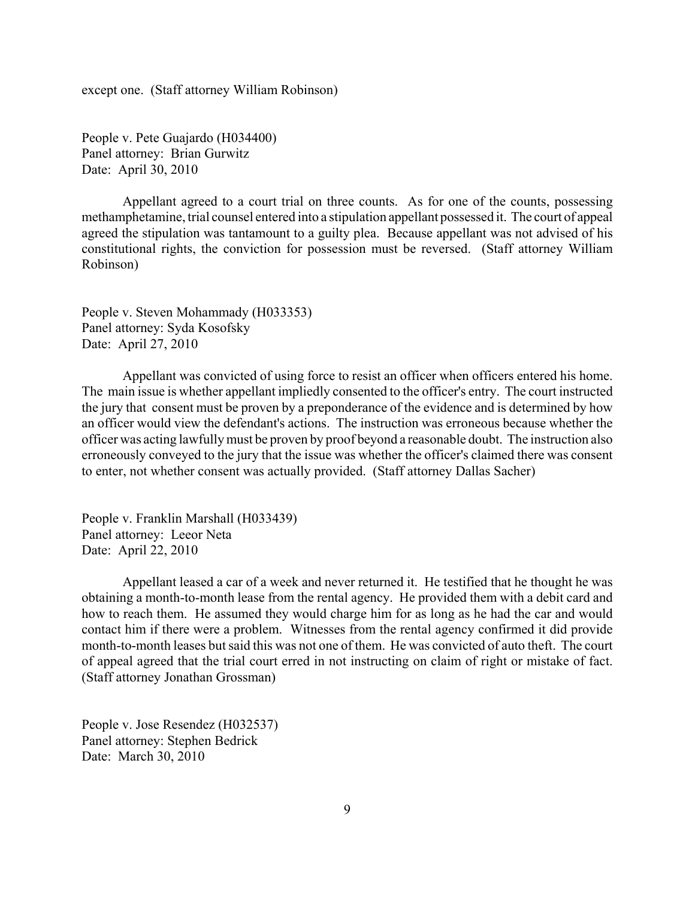except one. (Staff attorney William Robinson)

People v. Pete Guajardo (H034400) Panel attorney: Brian Gurwitz Date: April 30, 2010

Appellant agreed to a court trial on three counts. As for one of the counts, possessing methamphetamine, trial counsel entered into a stipulation appellant possessed it. The court of appeal agreed the stipulation was tantamount to a guilty plea. Because appellant was not advised of his constitutional rights, the conviction for possession must be reversed. (Staff attorney William Robinson)

People v. Steven Mohammady (H033353) Panel attorney: Syda Kosofsky Date: April 27, 2010

Appellant was convicted of using force to resist an officer when officers entered his home. The main issue is whether appellant impliedly consented to the officer's entry. The court instructed the jury that consent must be proven by a preponderance of the evidence and is determined by how an officer would view the defendant's actions. The instruction was erroneous because whether the officer was acting lawfully must be proven by proof beyond a reasonable doubt. The instruction also erroneously conveyed to the jury that the issue was whether the officer's claimed there was consent to enter, not whether consent was actually provided. (Staff attorney Dallas Sacher)

People v. Franklin Marshall (H033439) Panel attorney: Leeor Neta Date: April 22, 2010

Appellant leased a car of a week and never returned it. He testified that he thought he was obtaining a month-to-month lease from the rental agency. He provided them with a debit card and how to reach them. He assumed they would charge him for as long as he had the car and would contact him if there were a problem. Witnesses from the rental agency confirmed it did provide month-to-month leases but said this was not one of them. He was convicted of auto theft. The court of appeal agreed that the trial court erred in not instructing on claim of right or mistake of fact. (Staff attorney Jonathan Grossman)

People v. Jose Resendez (H032537) Panel attorney: Stephen Bedrick Date: March 30, 2010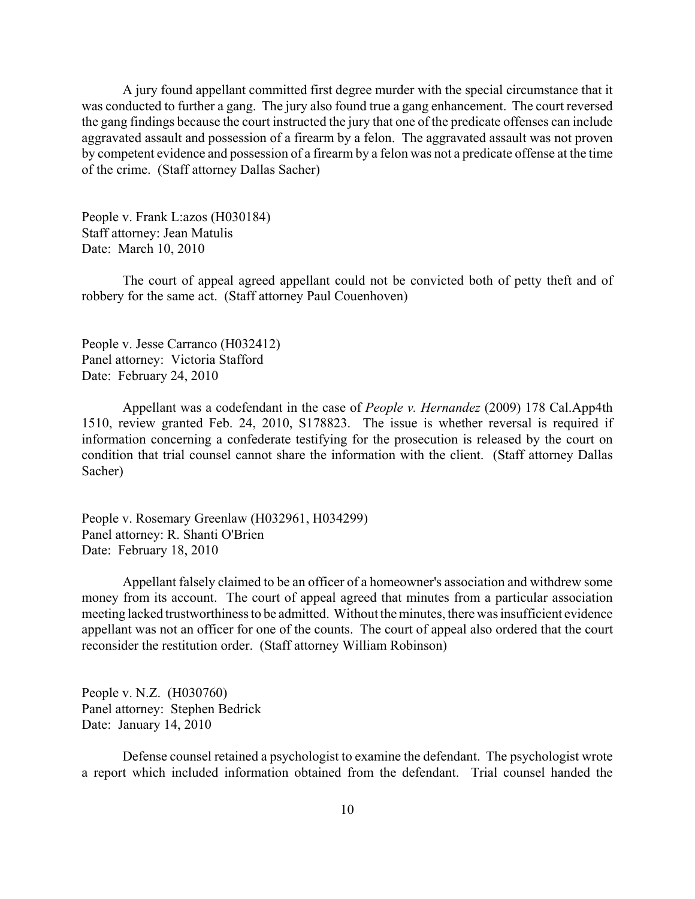A jury found appellant committed first degree murder with the special circumstance that it was conducted to further a gang. The jury also found true a gang enhancement. The court reversed the gang findings because the court instructed the jury that one of the predicate offenses can include aggravated assault and possession of a firearm by a felon. The aggravated assault was not proven by competent evidence and possession of a firearm by a felon was not a predicate offense at the time of the crime. (Staff attorney Dallas Sacher)

People v. Frank L:azos (H030184) Staff attorney: Jean Matulis Date: March 10, 2010

The court of appeal agreed appellant could not be convicted both of petty theft and of robbery for the same act. (Staff attorney Paul Couenhoven)

People v. Jesse Carranco (H032412) Panel attorney: Victoria Stafford Date: February 24, 2010

Appellant was a codefendant in the case of *People v. Hernandez* (2009) 178 Cal.App4th 1510, review granted Feb. 24, 2010, S178823. The issue is whether reversal is required if information concerning a confederate testifying for the prosecution is released by the court on condition that trial counsel cannot share the information with the client. (Staff attorney Dallas Sacher)

People v. Rosemary Greenlaw (H032961, H034299) Panel attorney: R. Shanti O'Brien Date: February 18, 2010

Appellant falsely claimed to be an officer of a homeowner's association and withdrew some money from its account. The court of appeal agreed that minutes from a particular association meeting lacked trustworthiness to be admitted. Without the minutes, there was insufficient evidence appellant was not an officer for one of the counts. The court of appeal also ordered that the court reconsider the restitution order. (Staff attorney William Robinson)

People v. N.Z. (H030760) Panel attorney: Stephen Bedrick Date: January 14, 2010

Defense counsel retained a psychologist to examine the defendant. The psychologist wrote a report which included information obtained from the defendant. Trial counsel handed the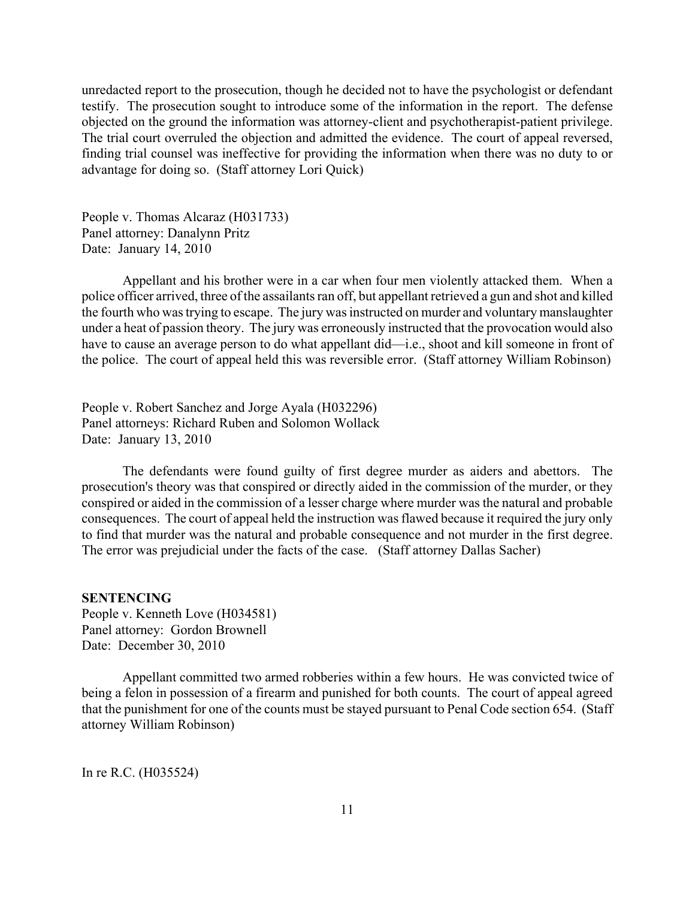<span id="page-10-0"></span>unredacted report to the prosecution, though he decided not to have the psychologist or defendant testify. The prosecution sought to introduce some of the information in the report. The defense objected on the ground the information was attorney-client and psychotherapist-patient privilege. The trial court overruled the objection and admitted the evidence. The court of appeal reversed, finding trial counsel was ineffective for providing the information when there was no duty to or advantage for doing so. (Staff attorney Lori Quick)

People v. Thomas Alcaraz (H031733) Panel attorney: Danalynn Pritz Date: January 14, 2010

Appellant and his brother were in a car when four men violently attacked them. When a police officer arrived, three of the assailants ran off, but appellant retrieved a gun and shot and killed the fourth who was trying to escape. The jury was instructed on murder and voluntary manslaughter under a heat of passion theory. The jury was erroneously instructed that the provocation would also have to cause an average person to do what appellant did—i.e., shoot and kill someone in front of the police. The court of appeal held this was reversible error. (Staff attorney William Robinson)

People v. Robert Sanchez and Jorge Ayala (H032296) Panel attorneys: Richard Ruben and Solomon Wollack Date: January 13, 2010

The defendants were found guilty of first degree murder as aiders and abettors. The prosecution's theory was that conspired or directly aided in the commission of the murder, or they conspired or aided in the commission of a lesser charge where murder was the natural and probable consequences. The court of appeal held the instruction was flawed because it required the jury only to find that murder was the natural and probable consequence and not murder in the first degree. The error was prejudicial under the facts of the case. (Staff attorney Dallas Sacher)

#### **SENTENCING**

People v. Kenneth Love (H034581) Panel attorney: Gordon Brownell Date: December 30, 2010

Appellant committed two armed robberies within a few hours. He was convicted twice of being a felon in possession of a firearm and punished for both counts. The court of appeal agreed that the punishment for one of the counts must be stayed pursuant to Penal Code section 654. (Staff attorney William Robinson)

In re R.C. (H035524)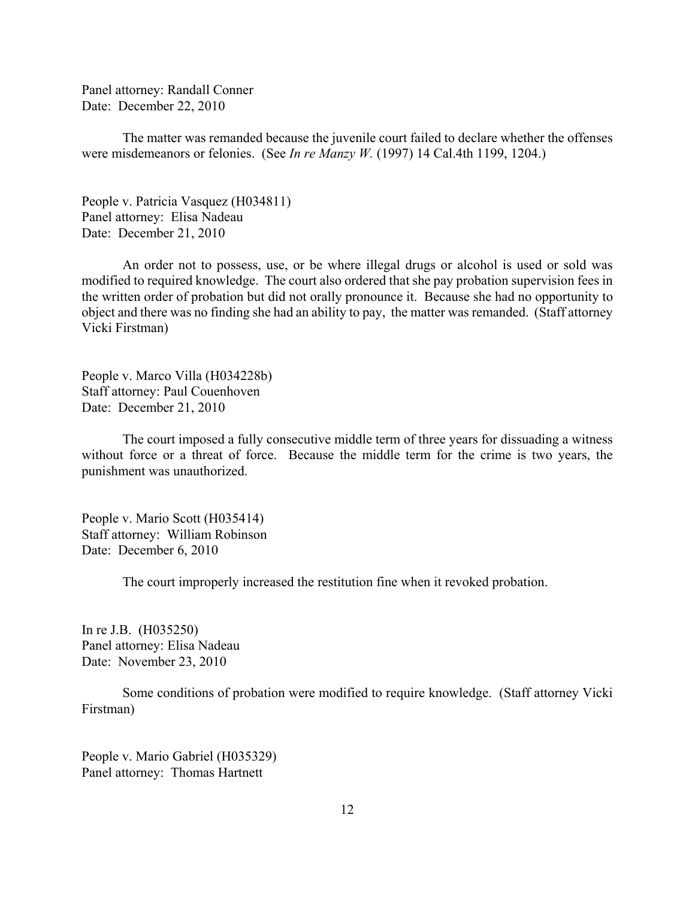Panel attorney: Randall Conner Date: December 22, 2010

The matter was remanded because the juvenile court failed to declare whether the offenses were misdemeanors or felonies. (See *In re Manzy W.* (1997) 14 Cal.4th 1199, 1204.)

People v. Patricia Vasquez (H034811) Panel attorney: Elisa Nadeau Date: December 21, 2010

An order not to possess, use, or be where illegal drugs or alcohol is used or sold was modified to required knowledge. The court also ordered that she pay probation supervision fees in the written order of probation but did not orally pronounce it. Because she had no opportunity to object and there was no finding she had an ability to pay, the matter was remanded. (Staff attorney Vicki Firstman)

People v. Marco Villa (H034228b) Staff attorney: Paul Couenhoven Date: December 21, 2010

The court imposed a fully consecutive middle term of three years for dissuading a witness without force or a threat of force. Because the middle term for the crime is two years, the punishment was unauthorized.

People v. Mario Scott (H035414) Staff attorney: William Robinson Date: December 6, 2010

The court improperly increased the restitution fine when it revoked probation.

In re J.B. (H035250) Panel attorney: Elisa Nadeau Date: November 23, 2010

Some conditions of probation were modified to require knowledge. (Staff attorney Vicki Firstman)

People v. Mario Gabriel (H035329) Panel attorney: Thomas Hartnett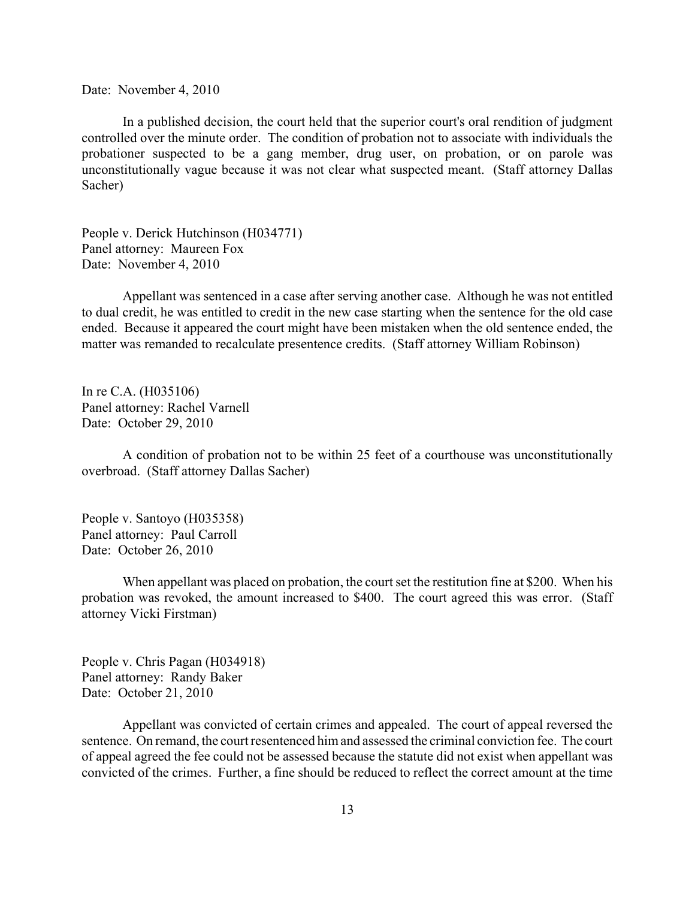Date: November 4, 2010

In a published decision, the court held that the superior court's oral rendition of judgment controlled over the minute order. The condition of probation not to associate with individuals the probationer suspected to be a gang member, drug user, on probation, or on parole was unconstitutionally vague because it was not clear what suspected meant. (Staff attorney Dallas Sacher)

People v. Derick Hutchinson (H034771) Panel attorney: Maureen Fox Date: November 4, 2010

Appellant was sentenced in a case after serving another case. Although he was not entitled to dual credit, he was entitled to credit in the new case starting when the sentence for the old case ended. Because it appeared the court might have been mistaken when the old sentence ended, the matter was remanded to recalculate presentence credits. (Staff attorney William Robinson)

In re C.A. (H035106) Panel attorney: Rachel Varnell Date: October 29, 2010

A condition of probation not to be within 25 feet of a courthouse was unconstitutionally overbroad. (Staff attorney Dallas Sacher)

People v. Santoyo (H035358) Panel attorney: Paul Carroll Date: October 26, 2010

When appellant was placed on probation, the court set the restitution fine at \$200. When his probation was revoked, the amount increased to \$400. The court agreed this was error. (Staff attorney Vicki Firstman)

People v. Chris Pagan (H034918) Panel attorney: Randy Baker Date: October 21, 2010

Appellant was convicted of certain crimes and appealed. The court of appeal reversed the sentence. On remand, the court resentenced him and assessed the criminal conviction fee. The court of appeal agreed the fee could not be assessed because the statute did not exist when appellant was convicted of the crimes. Further, a fine should be reduced to reflect the correct amount at the time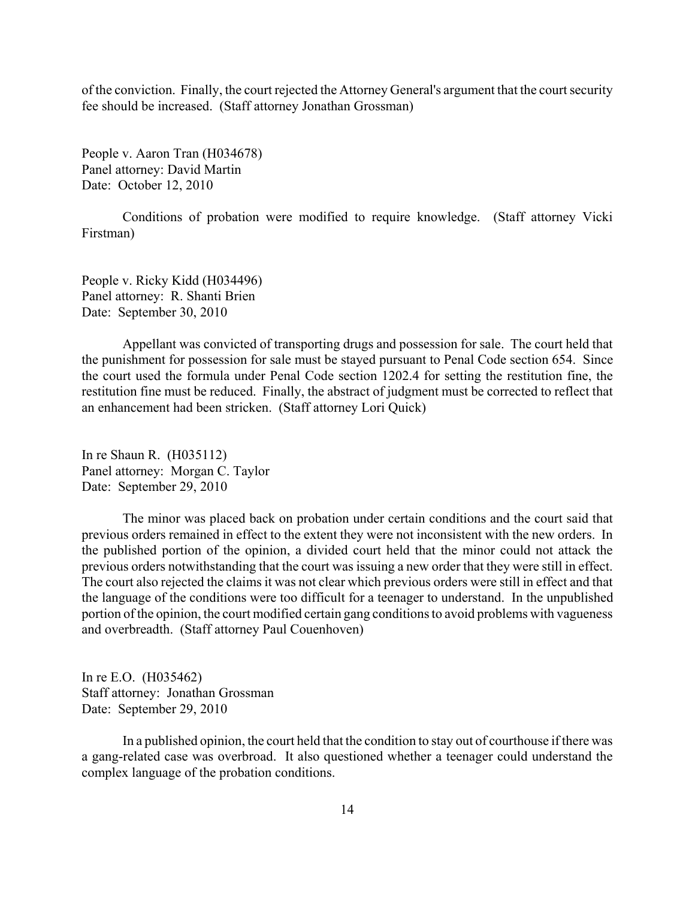of the conviction. Finally, the court rejected the Attorney General's argument that the court security fee should be increased. (Staff attorney Jonathan Grossman)

People v. Aaron Tran (H034678) Panel attorney: David Martin Date: October 12, 2010

Conditions of probation were modified to require knowledge. (Staff attorney Vicki Firstman)

People v. Ricky Kidd (H034496) Panel attorney: R. Shanti Brien Date: September 30, 2010

Appellant was convicted of transporting drugs and possession for sale. The court held that the punishment for possession for sale must be stayed pursuant to Penal Code section 654. Since the court used the formula under Penal Code section 1202.4 for setting the restitution fine, the restitution fine must be reduced. Finally, the abstract of judgment must be corrected to reflect that an enhancement had been stricken. (Staff attorney Lori Quick)

In re Shaun R. (H035112) Panel attorney: Morgan C. Taylor Date: September 29, 2010

The minor was placed back on probation under certain conditions and the court said that previous orders remained in effect to the extent they were not inconsistent with the new orders. In the published portion of the opinion, a divided court held that the minor could not attack the previous orders notwithstanding that the court was issuing a new order that they were still in effect. The court also rejected the claims it was not clear which previous orders were still in effect and that the language of the conditions were too difficult for a teenager to understand. In the unpublished portion of the opinion, the court modified certain gang conditions to avoid problems with vagueness and overbreadth. (Staff attorney Paul Couenhoven)

In re E.O. (H035462) Staff attorney: Jonathan Grossman Date: September 29, 2010

In a published opinion, the court held that the condition to stay out of courthouse if there was a gang-related case was overbroad. It also questioned whether a teenager could understand the complex language of the probation conditions.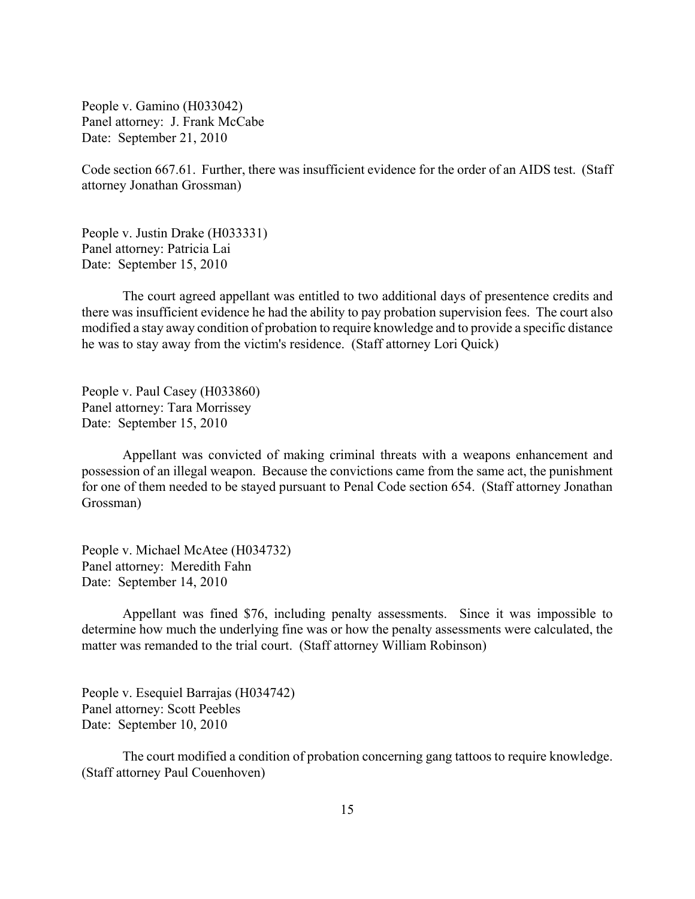People v. Gamino (H033042) Panel attorney: J. Frank McCabe Date: September 21, 2010

Code section 667.61. Further, there was insufficient evidence for the order of an AIDS test. (Staff attorney Jonathan Grossman)

People v. Justin Drake (H033331) Panel attorney: Patricia Lai Date: September 15, 2010

The court agreed appellant was entitled to two additional days of presentence credits and there was insufficient evidence he had the ability to pay probation supervision fees. The court also modified a stay away condition of probation to require knowledge and to provide a specific distance he was to stay away from the victim's residence. (Staff attorney Lori Quick)

People v. Paul Casey (H033860) Panel attorney: Tara Morrissey Date: September 15, 2010

Appellant was convicted of making criminal threats with a weapons enhancement and possession of an illegal weapon. Because the convictions came from the same act, the punishment for one of them needed to be stayed pursuant to Penal Code section 654. (Staff attorney Jonathan Grossman)

People v. Michael McAtee (H034732) Panel attorney: Meredith Fahn Date: September 14, 2010

Appellant was fined \$76, including penalty assessments. Since it was impossible to determine how much the underlying fine was or how the penalty assessments were calculated, the matter was remanded to the trial court. (Staff attorney William Robinson)

People v. Esequiel Barrajas (H034742) Panel attorney: Scott Peebles Date: September 10, 2010

The court modified a condition of probation concerning gang tattoos to require knowledge. (Staff attorney Paul Couenhoven)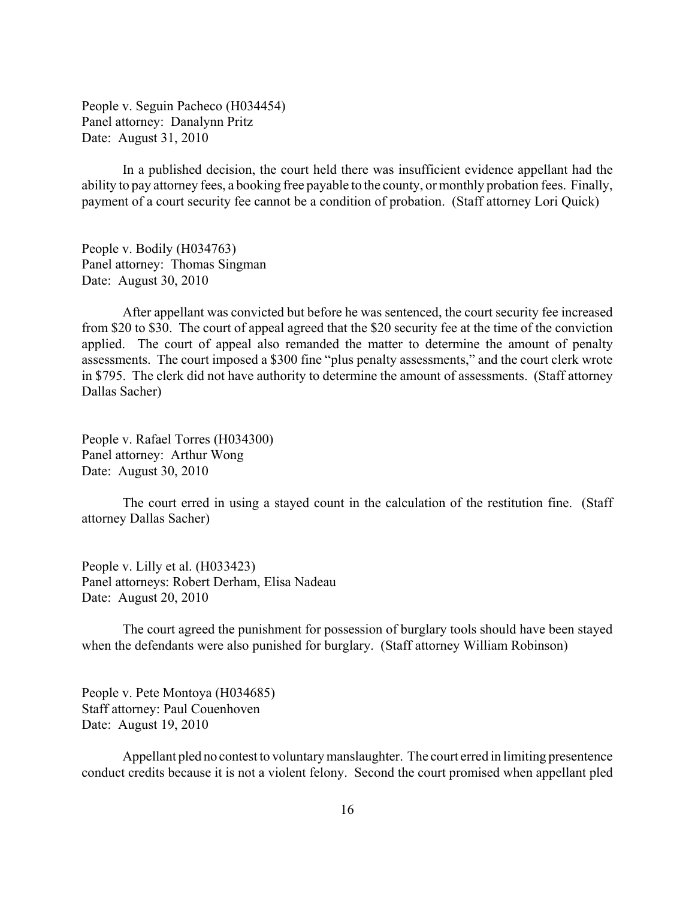People v. Seguin Pacheco (H034454) Panel attorney: Danalynn Pritz Date: August 31, 2010

In a published decision, the court held there was insufficient evidence appellant had the ability to pay attorney fees, a booking free payable to the county, or monthly probation fees. Finally, payment of a court security fee cannot be a condition of probation. (Staff attorney Lori Quick)

People v. Bodily (H034763) Panel attorney: Thomas Singman Date: August 30, 2010

After appellant was convicted but before he was sentenced, the court security fee increased from \$20 to \$30. The court of appeal agreed that the \$20 security fee at the time of the conviction applied. The court of appeal also remanded the matter to determine the amount of penalty assessments. The court imposed a \$300 fine "plus penalty assessments," and the court clerk wrote in \$795. The clerk did not have authority to determine the amount of assessments. (Staff attorney Dallas Sacher)

People v. Rafael Torres (H034300) Panel attorney: Arthur Wong Date: August 30, 2010

The court erred in using a stayed count in the calculation of the restitution fine. (Staff attorney Dallas Sacher)

People v. Lilly et al. (H033423) Panel attorneys: Robert Derham, Elisa Nadeau Date: August 20, 2010

The court agreed the punishment for possession of burglary tools should have been stayed when the defendants were also punished for burglary. (Staff attorney William Robinson)

People v. Pete Montoya (H034685) Staff attorney: Paul Couenhoven Date: August 19, 2010

Appellant pled no contest to voluntary manslaughter. The court erred in limiting presentence conduct credits because it is not a violent felony. Second the court promised when appellant pled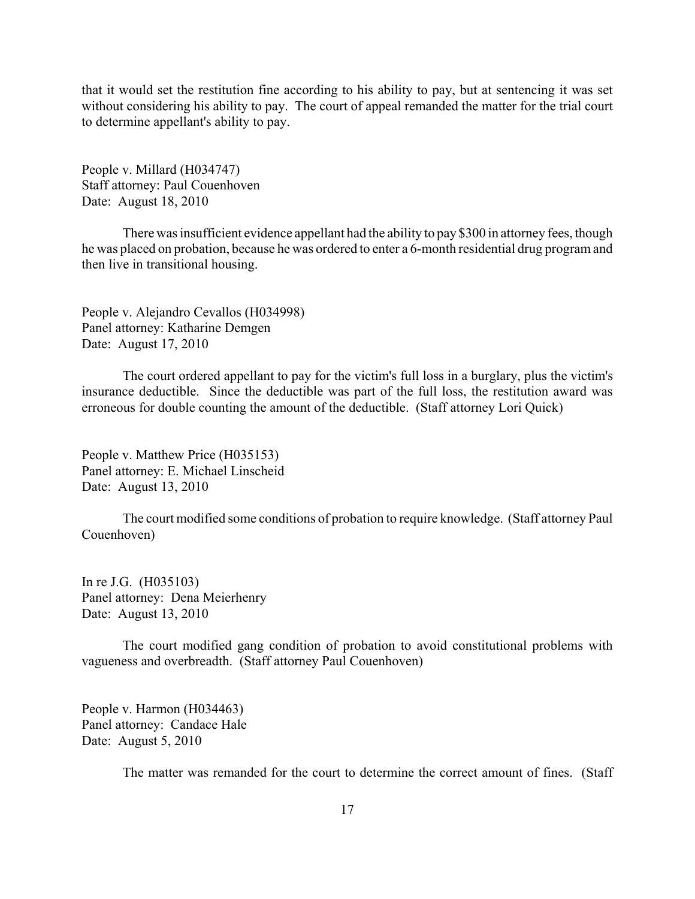that it would set the restitution fine according to his ability to pay, but at sentencing it was set without considering his ability to pay. The court of appeal remanded the matter for the trial court to determine appellant's ability to pay.

People v. Millard (H034747) Staff attorney: Paul Couenhoven Date: August 18, 2010

There was insufficient evidence appellant had the ability to pay \$300 in attorney fees, though he was placed on probation, because he was ordered to enter a 6-month residential drug program and then live in transitional housing.

People v. Alejandro Cevallos (H034998) Panel attorney: Katharine Demgen Date: August 17, 2010

The court ordered appellant to pay for the victim's full loss in a burglary, plus the victim's insurance deductible. Since the deductible was part of the full loss, the restitution award was erroneous for double counting the amount of the deductible. (Staff attorney Lori Quick)

People v. Matthew Price (H035153) Panel attorney: E. Michael Linscheid Date: August 13, 2010

The court modified some conditions of probation to require knowledge. (Staff attorney Paul Couenhoven)

In re J.G. (H035103) Panel attorney: Dena Meierhenry Date: August 13, 2010

The court modified gang condition of probation to avoid constitutional problems with vagueness and overbreadth. (Staff attorney Paul Couenhoven)

People v. Harmon (H034463) Panel attorney: Candace Hale Date: August 5, 2010

The matter was remanded for the court to determine the correct amount of fines. (Staff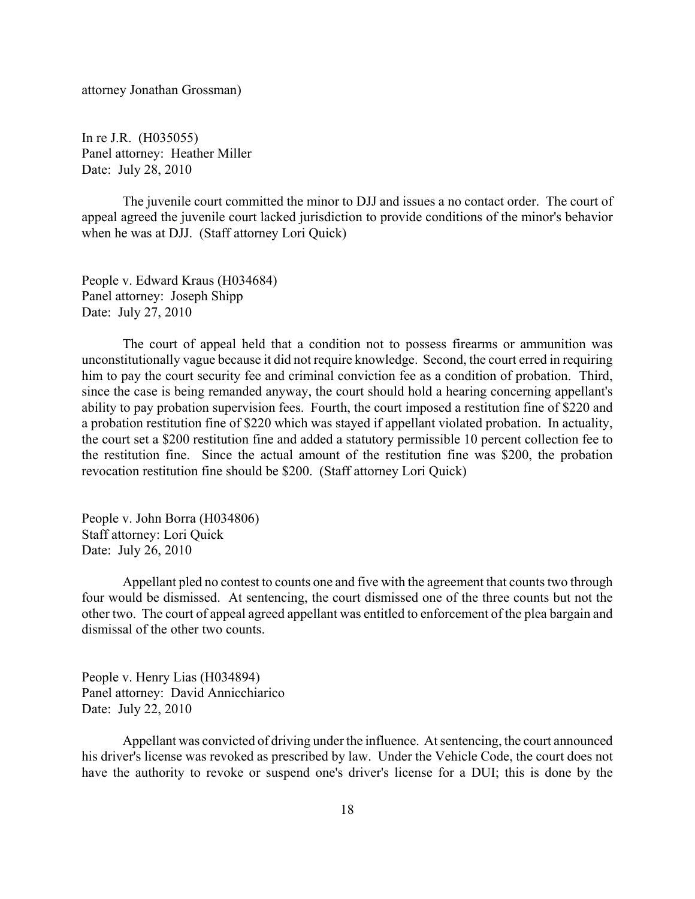attorney Jonathan Grossman)

In re J.R. (H035055) Panel attorney: Heather Miller Date: July 28, 2010

The juvenile court committed the minor to DJJ and issues a no contact order. The court of appeal agreed the juvenile court lacked jurisdiction to provide conditions of the minor's behavior when he was at DJJ. (Staff attorney Lori Quick)

People v. Edward Kraus (H034684) Panel attorney: Joseph Shipp Date: July 27, 2010

The court of appeal held that a condition not to possess firearms or ammunition was unconstitutionally vague because it did not require knowledge. Second, the court erred in requiring him to pay the court security fee and criminal conviction fee as a condition of probation. Third, since the case is being remanded anyway, the court should hold a hearing concerning appellant's ability to pay probation supervision fees. Fourth, the court imposed a restitution fine of \$220 and a probation restitution fine of \$220 which was stayed if appellant violated probation. In actuality, the court set a \$200 restitution fine and added a statutory permissible 10 percent collection fee to the restitution fine. Since the actual amount of the restitution fine was \$200, the probation revocation restitution fine should be \$200. (Staff attorney Lori Quick)

People v. John Borra (H034806) Staff attorney: Lori Quick Date: July 26, 2010

Appellant pled no contest to counts one and five with the agreement that counts two through four would be dismissed. At sentencing, the court dismissed one of the three counts but not the other two. The court of appeal agreed appellant was entitled to enforcement of the plea bargain and dismissal of the other two counts.

People v. Henry Lias (H034894) Panel attorney: David Annicchiarico Date: July 22, 2010

Appellant was convicted of driving under the influence. At sentencing, the court announced his driver's license was revoked as prescribed by law. Under the Vehicle Code, the court does not have the authority to revoke or suspend one's driver's license for a DUI; this is done by the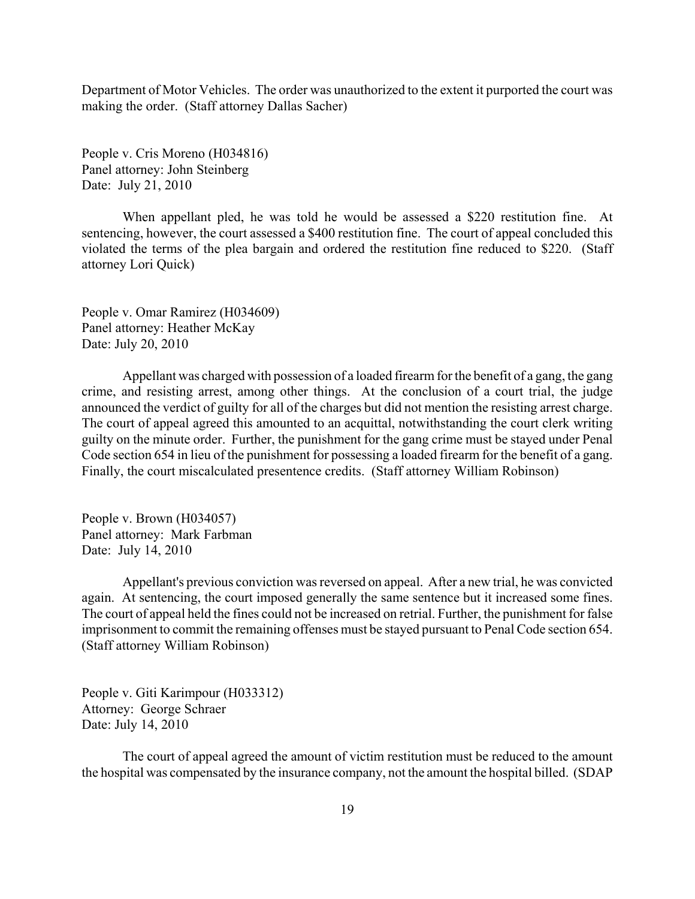Department of Motor Vehicles. The order was unauthorized to the extent it purported the court was making the order. (Staff attorney Dallas Sacher)

People v. Cris Moreno (H034816) Panel attorney: John Steinberg Date: July 21, 2010

When appellant pled, he was told he would be assessed a \$220 restitution fine. At sentencing, however, the court assessed a \$400 restitution fine. The court of appeal concluded this violated the terms of the plea bargain and ordered the restitution fine reduced to \$220. (Staff attorney Lori Quick)

People v. Omar Ramirez (H034609) Panel attorney: Heather McKay Date: July 20, 2010

Appellant was charged with possession of a loaded firearm for the benefit of a gang, the gang crime, and resisting arrest, among other things. At the conclusion of a court trial, the judge announced the verdict of guilty for all of the charges but did not mention the resisting arrest charge. The court of appeal agreed this amounted to an acquittal, notwithstanding the court clerk writing guilty on the minute order. Further, the punishment for the gang crime must be stayed under Penal Code section 654 in lieu of the punishment for possessing a loaded firearm for the benefit of a gang. Finally, the court miscalculated presentence credits. (Staff attorney William Robinson)

People v. Brown (H034057) Panel attorney: Mark Farbman Date: July 14, 2010

Appellant's previous conviction was reversed on appeal. After a new trial, he was convicted again. At sentencing, the court imposed generally the same sentence but it increased some fines. The court of appeal held the fines could not be increased on retrial. Further, the punishment for false imprisonment to commit the remaining offenses must be stayed pursuant to Penal Code section 654. (Staff attorney William Robinson)

People v. Giti Karimpour (H033312) Attorney: George Schraer Date: July 14, 2010

The court of appeal agreed the amount of victim restitution must be reduced to the amount the hospital was compensated by the insurance company, not the amount the hospital billed. (SDAP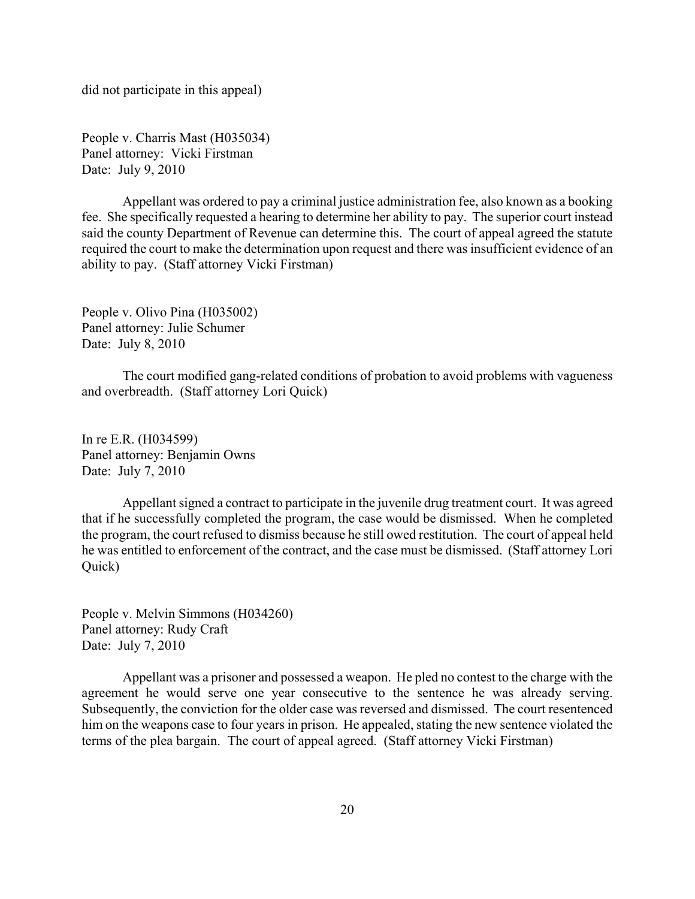did not participate in this appeal)

People v. Charris Mast (H035034) Panel attorney: Vicki Firstman Date: July 9, 2010

Appellant was ordered to pay a criminal justice administration fee, also known as a booking fee. She specifically requested a hearing to determine her ability to pay. The superior court instead said the county Department of Revenue can determine this. The court of appeal agreed the statute required the court to make the determination upon request and there was insufficient evidence of an ability to pay. (Staff attorney Vicki Firstman)

People v. Olivo Pina (H035002) Panel attorney: Julie Schumer Date: July 8, 2010

The court modified gang-related conditions of probation to avoid problems with vagueness and overbreadth. (Staff attorney Lori Quick)

In re E.R. (H034599) Panel attorney: Benjamin Owns Date: July 7, 2010

Appellant signed a contract to participate in the juvenile drug treatment court. It was agreed that if he successfully completed the program, the case would be dismissed. When he completed the program, the court refused to dismiss because he still owed restitution. The court of appeal held he was entitled to enforcement of the contract, and the case must be dismissed. (Staff attorney Lori Quick)

People v. Melvin Simmons (H034260) Panel attorney: Rudy Craft Date: July 7, 2010

Appellant was a prisoner and possessed a weapon. He pled no contest to the charge with the agreement he would serve one year consecutive to the sentence he was already serving. Subsequently, the conviction for the older case was reversed and dismissed. The court resentenced him on the weapons case to four years in prison. He appealed, stating the new sentence violated the terms of the plea bargain. The court of appeal agreed. (Staff attorney Vicki Firstman)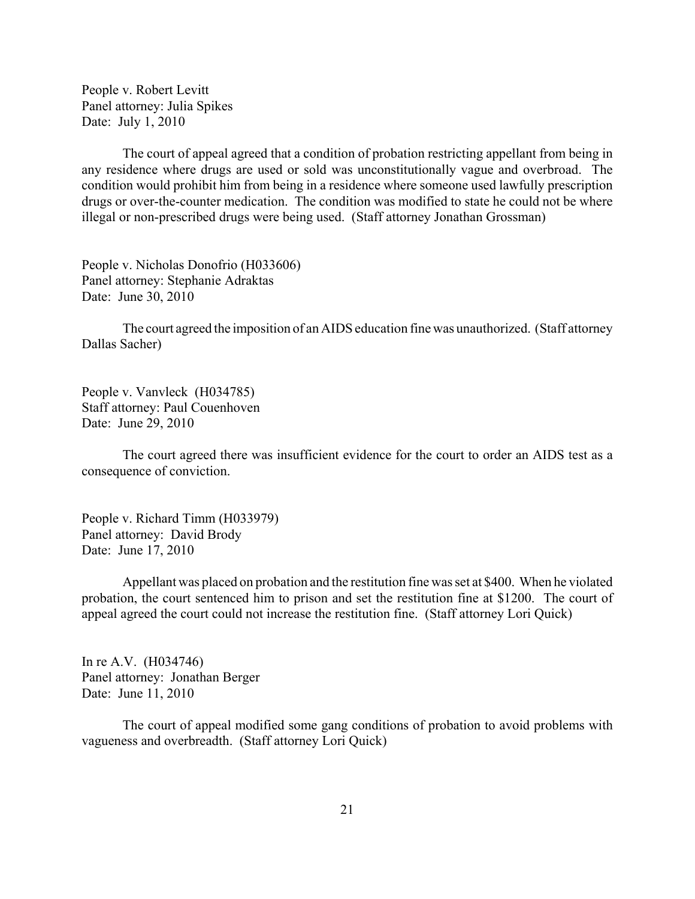People v. Robert Levitt Panel attorney: Julia Spikes Date: July 1, 2010

The court of appeal agreed that a condition of probation restricting appellant from being in any residence where drugs are used or sold was unconstitutionally vague and overbroad. The condition would prohibit him from being in a residence where someone used lawfully prescription drugs or over-the-counter medication. The condition was modified to state he could not be where illegal or non-prescribed drugs were being used. (Staff attorney Jonathan Grossman)

People v. Nicholas Donofrio (H033606) Panel attorney: Stephanie Adraktas Date: June 30, 2010

The court agreed the imposition of an AIDS education fine was unauthorized. (Staff attorney Dallas Sacher)

People v. Vanvleck (H034785) Staff attorney: Paul Couenhoven Date: June 29, 2010

The court agreed there was insufficient evidence for the court to order an AIDS test as a consequence of conviction.

People v. Richard Timm (H033979) Panel attorney: David Brody Date: June 17, 2010

Appellant was placed on probation and the restitution fine was set at \$400. When he violated probation, the court sentenced him to prison and set the restitution fine at \$1200. The court of appeal agreed the court could not increase the restitution fine. (Staff attorney Lori Quick)

In re A.V. (H034746) Panel attorney: Jonathan Berger Date: June 11, 2010

The court of appeal modified some gang conditions of probation to avoid problems with vagueness and overbreadth. (Staff attorney Lori Quick)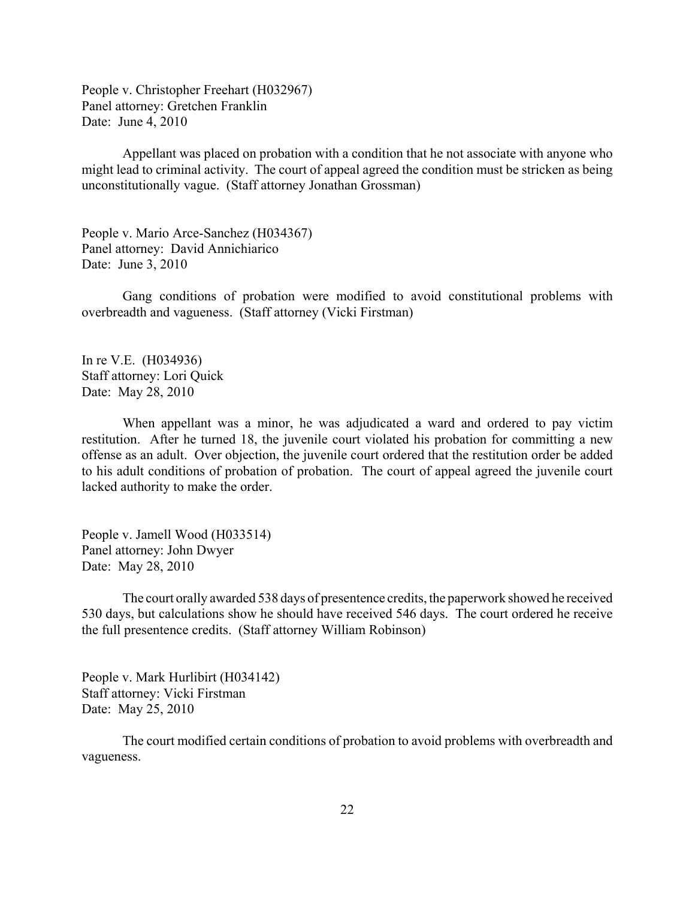People v. Christopher Freehart (H032967) Panel attorney: Gretchen Franklin Date: June 4, 2010

Appellant was placed on probation with a condition that he not associate with anyone who might lead to criminal activity. The court of appeal agreed the condition must be stricken as being unconstitutionally vague. (Staff attorney Jonathan Grossman)

People v. Mario Arce-Sanchez (H034367) Panel attorney: David Annichiarico Date: June 3, 2010

Gang conditions of probation were modified to avoid constitutional problems with overbreadth and vagueness. (Staff attorney (Vicki Firstman)

In re V.E. (H034936) Staff attorney: Lori Quick Date: May 28, 2010

When appellant was a minor, he was adjudicated a ward and ordered to pay victim restitution. After he turned 18, the juvenile court violated his probation for committing a new offense as an adult. Over objection, the juvenile court ordered that the restitution order be added to his adult conditions of probation of probation. The court of appeal agreed the juvenile court lacked authority to make the order.

People v. Jamell Wood (H033514) Panel attorney: John Dwyer Date: May 28, 2010

The court orally awarded 538 days of presentence credits, the paperwork showed he received 530 days, but calculations show he should have received 546 days. The court ordered he receive the full presentence credits. (Staff attorney William Robinson)

People v. Mark Hurlibirt (H034142) Staff attorney: Vicki Firstman Date: May 25, 2010

The court modified certain conditions of probation to avoid problems with overbreadth and vagueness.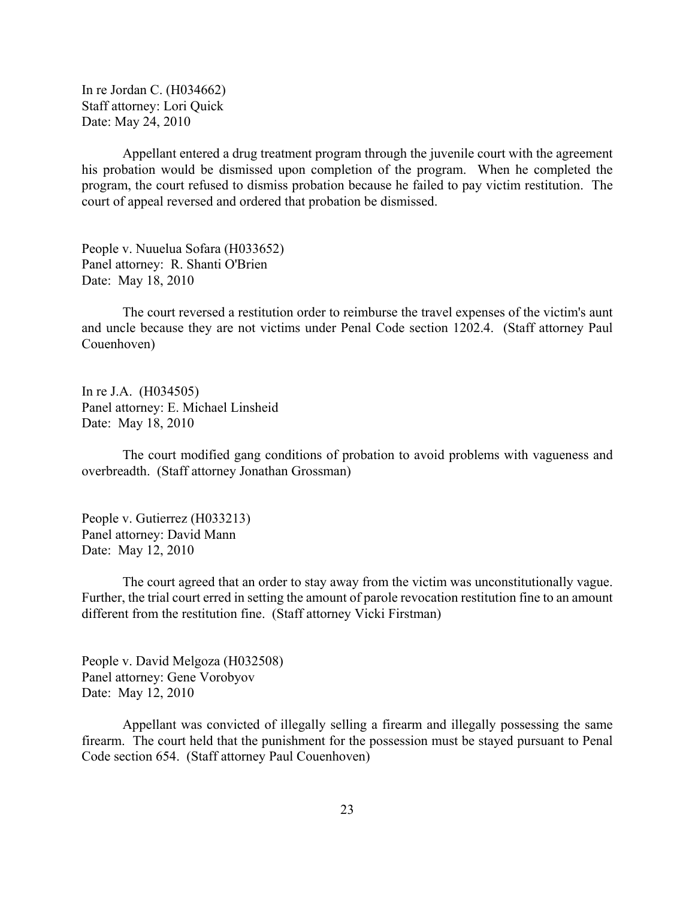In re Jordan C. (H034662) Staff attorney: Lori Quick Date: May 24, 2010

Appellant entered a drug treatment program through the juvenile court with the agreement his probation would be dismissed upon completion of the program. When he completed the program, the court refused to dismiss probation because he failed to pay victim restitution. The court of appeal reversed and ordered that probation be dismissed.

People v. Nuuelua Sofara (H033652) Panel attorney: R. Shanti O'Brien Date: May 18, 2010

The court reversed a restitution order to reimburse the travel expenses of the victim's aunt and uncle because they are not victims under Penal Code section 1202.4. (Staff attorney Paul Couenhoven)

In re J.A. (H034505) Panel attorney: E. Michael Linsheid Date: May 18, 2010

The court modified gang conditions of probation to avoid problems with vagueness and overbreadth. (Staff attorney Jonathan Grossman)

People v. Gutierrez (H033213) Panel attorney: David Mann Date: May 12, 2010

The court agreed that an order to stay away from the victim was unconstitutionally vague. Further, the trial court erred in setting the amount of parole revocation restitution fine to an amount different from the restitution fine. (Staff attorney Vicki Firstman)

People v. David Melgoza (H032508) Panel attorney: Gene Vorobyov Date: May 12, 2010

Appellant was convicted of illegally selling a firearm and illegally possessing the same firearm. The court held that the punishment for the possession must be stayed pursuant to Penal Code section 654. (Staff attorney Paul Couenhoven)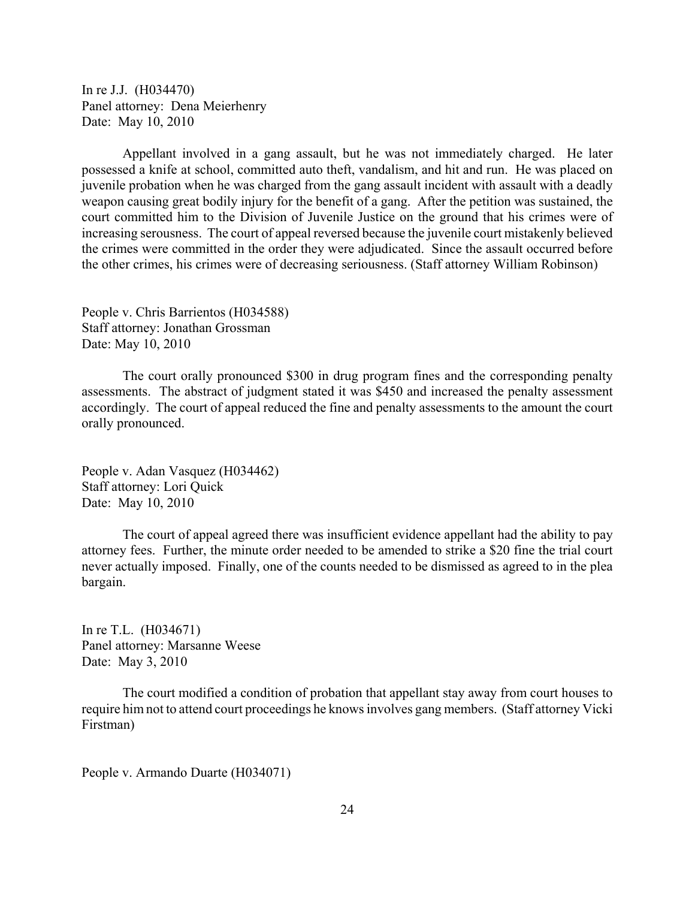In re J.J. (H034470) Panel attorney: Dena Meierhenry Date: May 10, 2010

Appellant involved in a gang assault, but he was not immediately charged. He later possessed a knife at school, committed auto theft, vandalism, and hit and run. He was placed on juvenile probation when he was charged from the gang assault incident with assault with a deadly weapon causing great bodily injury for the benefit of a gang. After the petition was sustained, the court committed him to the Division of Juvenile Justice on the ground that his crimes were of increasing serousness. The court of appeal reversed because the juvenile court mistakenly believed the crimes were committed in the order they were adjudicated. Since the assault occurred before the other crimes, his crimes were of decreasing seriousness. (Staff attorney William Robinson)

People v. Chris Barrientos (H034588) Staff attorney: Jonathan Grossman Date: May 10, 2010

The court orally pronounced \$300 in drug program fines and the corresponding penalty assessments. The abstract of judgment stated it was \$450 and increased the penalty assessment accordingly. The court of appeal reduced the fine and penalty assessments to the amount the court orally pronounced.

People v. Adan Vasquez (H034462) Staff attorney: Lori Quick Date: May 10, 2010

The court of appeal agreed there was insufficient evidence appellant had the ability to pay attorney fees. Further, the minute order needed to be amended to strike a \$20 fine the trial court never actually imposed. Finally, one of the counts needed to be dismissed as agreed to in the plea bargain.

In re T.L. (H034671) Panel attorney: Marsanne Weese Date: May 3, 2010

The court modified a condition of probation that appellant stay away from court houses to require him not to attend court proceedings he knows involves gang members. (Staff attorney Vicki Firstman)

People v. Armando Duarte (H034071)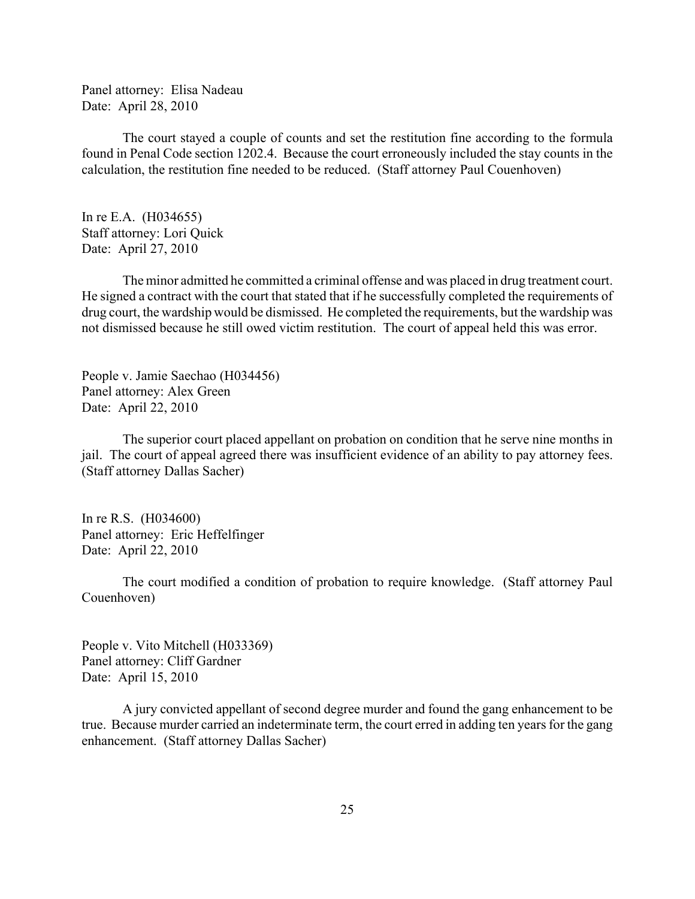Panel attorney: Elisa Nadeau Date: April 28, 2010

The court stayed a couple of counts and set the restitution fine according to the formula found in Penal Code section 1202.4. Because the court erroneously included the stay counts in the calculation, the restitution fine needed to be reduced. (Staff attorney Paul Couenhoven)

In re E.A. (H034655) Staff attorney: Lori Quick Date: April 27, 2010

The minor admitted he committed a criminal offense and was placed in drug treatment court. He signed a contract with the court that stated that if he successfully completed the requirements of drug court, the wardship would be dismissed. He completed the requirements, but the wardship was not dismissed because he still owed victim restitution. The court of appeal held this was error.

People v. Jamie Saechao (H034456) Panel attorney: Alex Green Date: April 22, 2010

The superior court placed appellant on probation on condition that he serve nine months in jail. The court of appeal agreed there was insufficient evidence of an ability to pay attorney fees. (Staff attorney Dallas Sacher)

In re R.S. (H034600) Panel attorney: Eric Heffelfinger Date: April 22, 2010

The court modified a condition of probation to require knowledge. (Staff attorney Paul Couenhoven)

People v. Vito Mitchell (H033369) Panel attorney: Cliff Gardner Date: April 15, 2010

A jury convicted appellant of second degree murder and found the gang enhancement to be true. Because murder carried an indeterminate term, the court erred in adding ten years for the gang enhancement. (Staff attorney Dallas Sacher)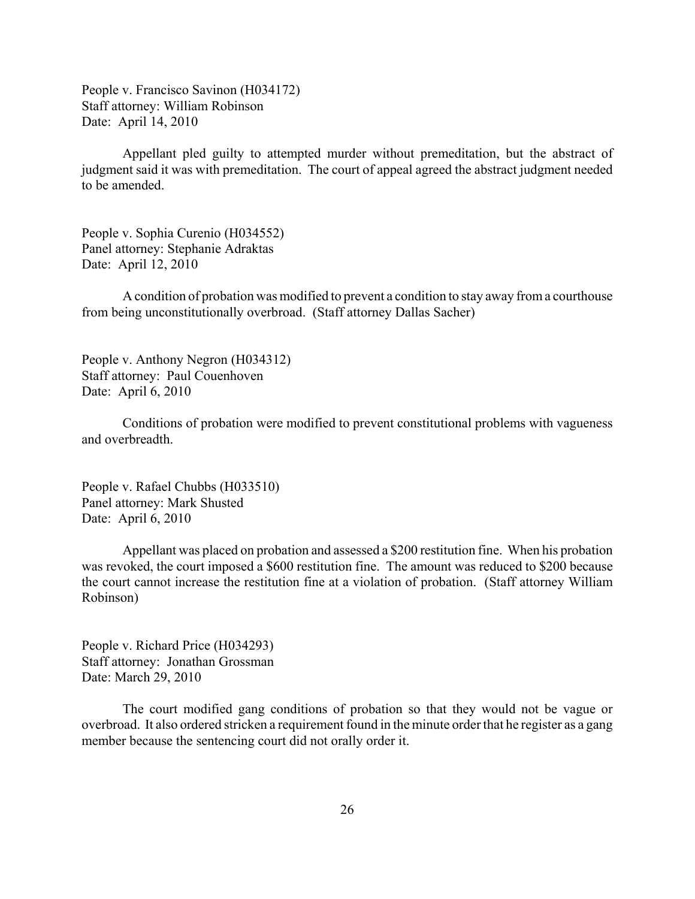People v. Francisco Savinon (H034172) Staff attorney: William Robinson Date: April 14, 2010

Appellant pled guilty to attempted murder without premeditation, but the abstract of judgment said it was with premeditation. The court of appeal agreed the abstract judgment needed to be amended.

People v. Sophia Curenio (H034552) Panel attorney: Stephanie Adraktas Date: April 12, 2010

A condition of probation was modified to prevent a condition to stay away from a courthouse from being unconstitutionally overbroad. (Staff attorney Dallas Sacher)

People v. Anthony Negron (H034312) Staff attorney: Paul Couenhoven Date: April 6, 2010

Conditions of probation were modified to prevent constitutional problems with vagueness and overbreadth.

People v. Rafael Chubbs (H033510) Panel attorney: Mark Shusted Date: April 6, 2010

Appellant was placed on probation and assessed a \$200 restitution fine. When his probation was revoked, the court imposed a \$600 restitution fine. The amount was reduced to \$200 because the court cannot increase the restitution fine at a violation of probation. (Staff attorney William Robinson)

People v. Richard Price (H034293) Staff attorney: Jonathan Grossman Date: March 29, 2010

The court modified gang conditions of probation so that they would not be vague or overbroad. It also ordered stricken a requirement found in the minute order that he register as a gang member because the sentencing court did not orally order it.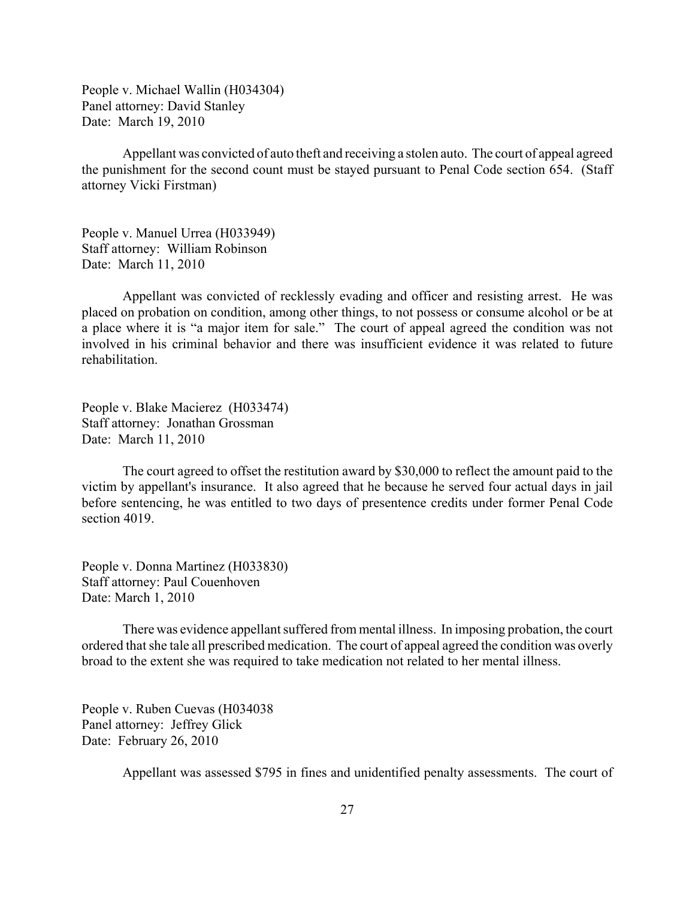People v. Michael Wallin (H034304) Panel attorney: David Stanley Date: March 19, 2010

Appellant was convicted of auto theft and receiving a stolen auto. The court of appeal agreed the punishment for the second count must be stayed pursuant to Penal Code section 654. (Staff attorney Vicki Firstman)

People v. Manuel Urrea (H033949) Staff attorney: William Robinson Date: March 11, 2010

Appellant was convicted of recklessly evading and officer and resisting arrest. He was placed on probation on condition, among other things, to not possess or consume alcohol or be at a place where it is "a major item for sale." The court of appeal agreed the condition was not involved in his criminal behavior and there was insufficient evidence it was related to future rehabilitation.

People v. Blake Macierez (H033474) Staff attorney: Jonathan Grossman Date: March 11, 2010

The court agreed to offset the restitution award by \$30,000 to reflect the amount paid to the victim by appellant's insurance. It also agreed that he because he served four actual days in jail before sentencing, he was entitled to two days of presentence credits under former Penal Code section 4019.

People v. Donna Martinez (H033830) Staff attorney: Paul Couenhoven Date: March 1, 2010

There was evidence appellant suffered from mental illness. In imposing probation, the court ordered that she tale all prescribed medication. The court of appeal agreed the condition was overly broad to the extent she was required to take medication not related to her mental illness.

People v. Ruben Cuevas (H034038 Panel attorney: Jeffrey Glick Date: February 26, 2010

Appellant was assessed \$795 in fines and unidentified penalty assessments. The court of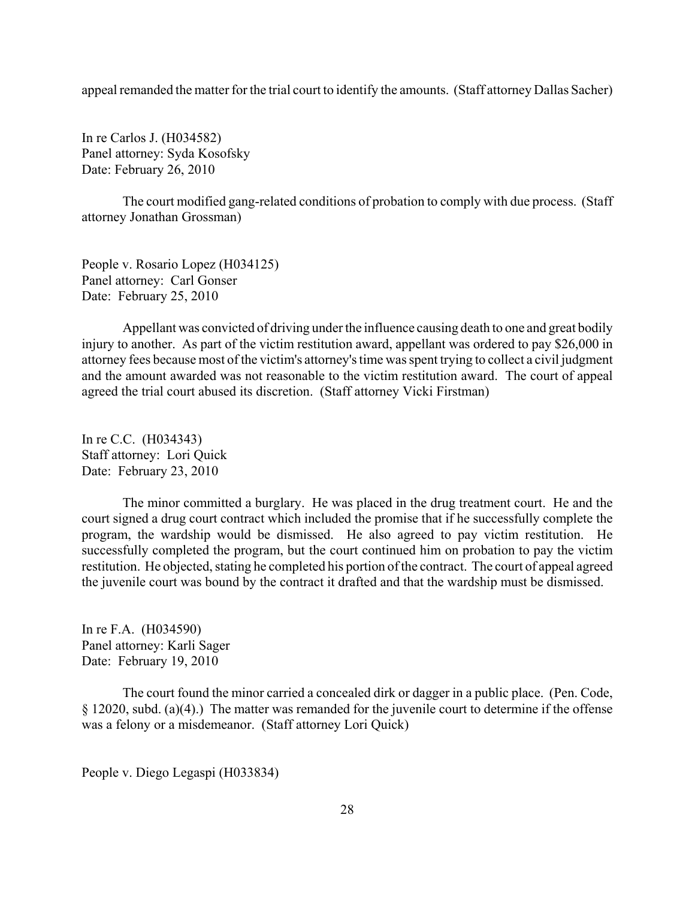appeal remanded the matter for the trial court to identify the amounts. (Staff attorney Dallas Sacher)

In re Carlos J. (H034582) Panel attorney: Syda Kosofsky Date: February 26, 2010

The court modified gang-related conditions of probation to comply with due process. (Staff attorney Jonathan Grossman)

People v. Rosario Lopez (H034125) Panel attorney: Carl Gonser Date: February 25, 2010

Appellant was convicted of driving under the influence causing death to one and great bodily injury to another. As part of the victim restitution award, appellant was ordered to pay \$26,000 in attorney fees because most of the victim's attorney's time was spent trying to collect a civil judgment and the amount awarded was not reasonable to the victim restitution award. The court of appeal agreed the trial court abused its discretion. (Staff attorney Vicki Firstman)

In re C.C. (H034343) Staff attorney: Lori Quick Date: February 23, 2010

The minor committed a burglary. He was placed in the drug treatment court. He and the court signed a drug court contract which included the promise that if he successfully complete the program, the wardship would be dismissed. He also agreed to pay victim restitution. He successfully completed the program, but the court continued him on probation to pay the victim restitution. He objected, stating he completed his portion of the contract. The court of appeal agreed the juvenile court was bound by the contract it drafted and that the wardship must be dismissed.

In re F.A. (H034590) Panel attorney: Karli Sager Date: February 19, 2010

The court found the minor carried a concealed dirk or dagger in a public place. (Pen. Code, § 12020, subd. (a)(4).) The matter was remanded for the juvenile court to determine if the offense was a felony or a misdemeanor. (Staff attorney Lori Quick)

People v. Diego Legaspi (H033834)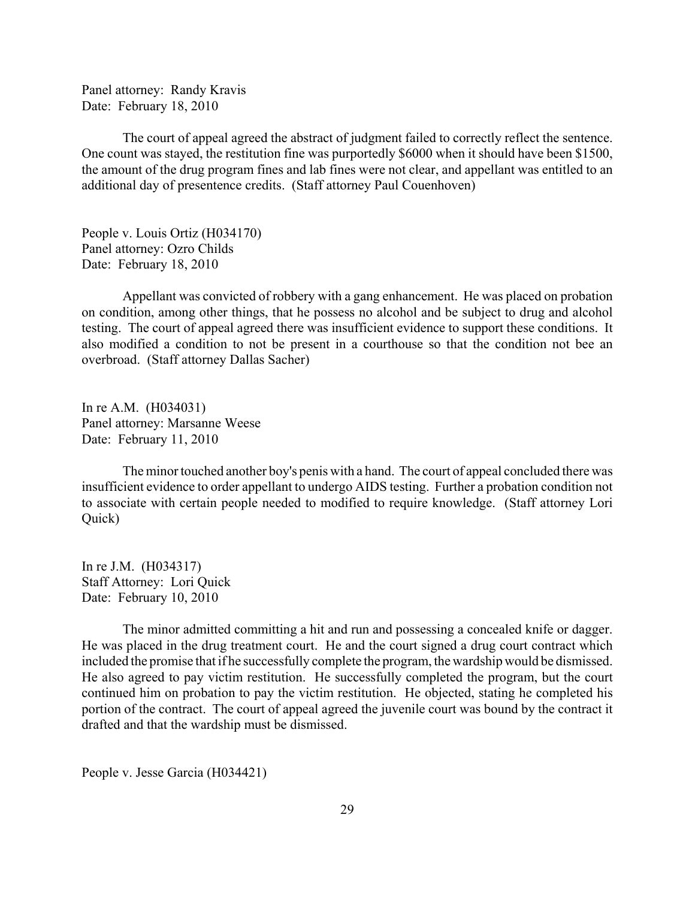Panel attorney: Randy Kravis Date: February 18, 2010

The court of appeal agreed the abstract of judgment failed to correctly reflect the sentence. One count was stayed, the restitution fine was purportedly \$6000 when it should have been \$1500, the amount of the drug program fines and lab fines were not clear, and appellant was entitled to an additional day of presentence credits. (Staff attorney Paul Couenhoven)

People v. Louis Ortiz (H034170) Panel attorney: Ozro Childs Date: February 18, 2010

Appellant was convicted of robbery with a gang enhancement. He was placed on probation on condition, among other things, that he possess no alcohol and be subject to drug and alcohol testing. The court of appeal agreed there was insufficient evidence to support these conditions. It also modified a condition to not be present in a courthouse so that the condition not bee an overbroad. (Staff attorney Dallas Sacher)

In re A.M. (H034031) Panel attorney: Marsanne Weese Date: February 11, 2010

The minor touched another boy's penis with a hand. The court of appeal concluded there was insufficient evidence to order appellant to undergo AIDS testing. Further a probation condition not to associate with certain people needed to modified to require knowledge. (Staff attorney Lori Quick)

In re J.M. (H034317) Staff Attorney: Lori Quick Date: February 10, 2010

The minor admitted committing a hit and run and possessing a concealed knife or dagger. He was placed in the drug treatment court. He and the court signed a drug court contract which included the promise that if he successfully complete the program, the wardship would be dismissed. He also agreed to pay victim restitution. He successfully completed the program, but the court continued him on probation to pay the victim restitution. He objected, stating he completed his portion of the contract. The court of appeal agreed the juvenile court was bound by the contract it drafted and that the wardship must be dismissed.

People v. Jesse Garcia (H034421)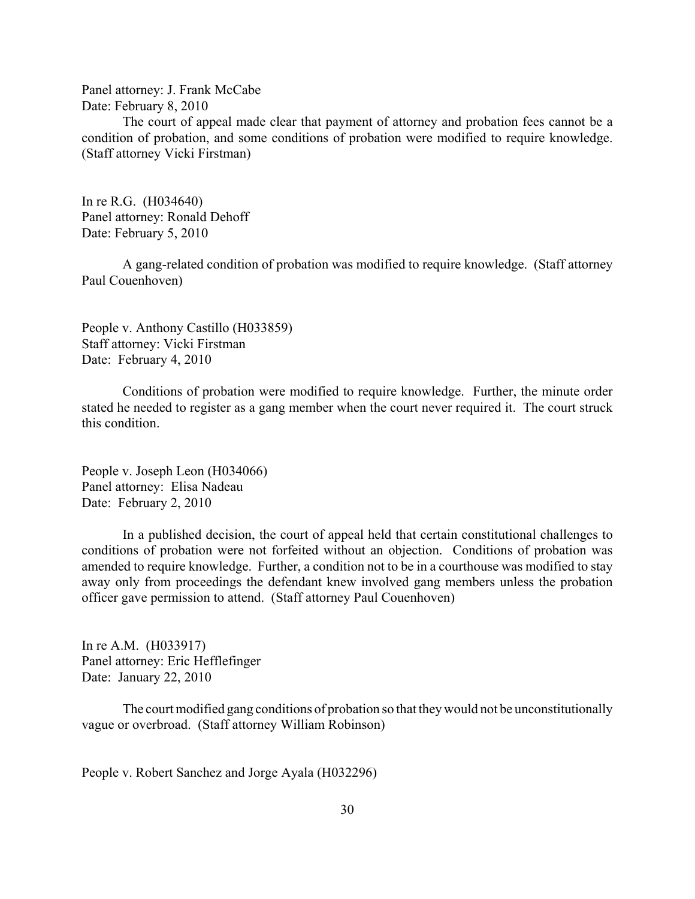Panel attorney: J. Frank McCabe Date: February 8, 2010

The court of appeal made clear that payment of attorney and probation fees cannot be a condition of probation, and some conditions of probation were modified to require knowledge. (Staff attorney Vicki Firstman)

In re R.G. (H034640) Panel attorney: Ronald Dehoff Date: February 5, 2010

A gang-related condition of probation was modified to require knowledge. (Staff attorney Paul Couenhoven)

People v. Anthony Castillo (H033859) Staff attorney: Vicki Firstman Date: February 4, 2010

Conditions of probation were modified to require knowledge. Further, the minute order stated he needed to register as a gang member when the court never required it. The court struck this condition.

People v. Joseph Leon (H034066) Panel attorney: Elisa Nadeau Date: February 2, 2010

In a published decision, the court of appeal held that certain constitutional challenges to conditions of probation were not forfeited without an objection. Conditions of probation was amended to require knowledge. Further, a condition not to be in a courthouse was modified to stay away only from proceedings the defendant knew involved gang members unless the probation officer gave permission to attend. (Staff attorney Paul Couenhoven)

In re A.M. (H033917) Panel attorney: Eric Hefflefinger Date: January 22, 2010

The court modified gang conditions of probation so that they would not be unconstitutionally vague or overbroad. (Staff attorney William Robinson)

People v. Robert Sanchez and Jorge Ayala (H032296)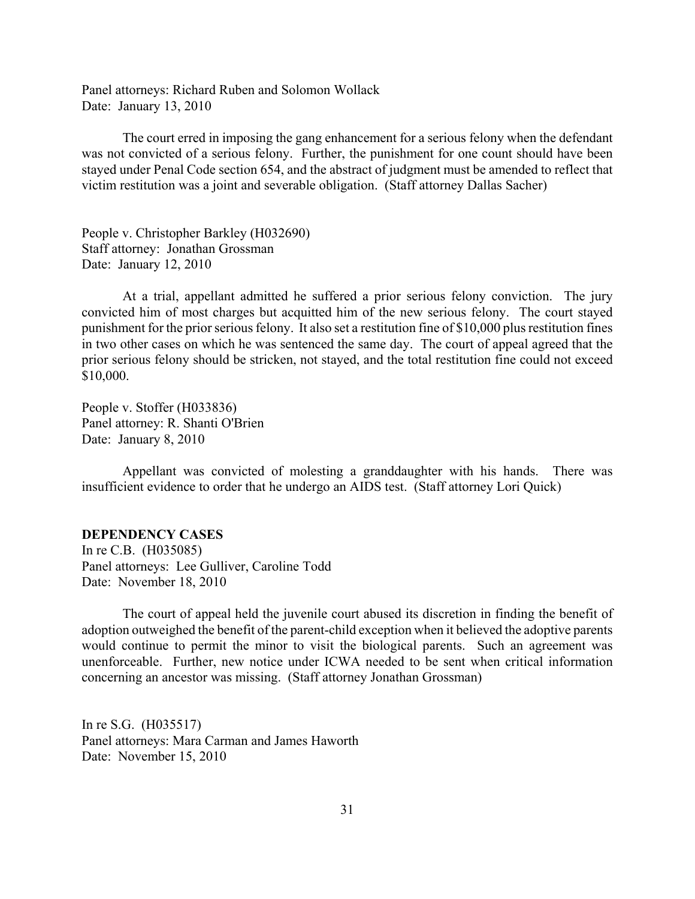<span id="page-30-0"></span>Panel attorneys: Richard Ruben and Solomon Wollack Date: January 13, 2010

The court erred in imposing the gang enhancement for a serious felony when the defendant was not convicted of a serious felony. Further, the punishment for one count should have been stayed under Penal Code section 654, and the abstract of judgment must be amended to reflect that victim restitution was a joint and severable obligation. (Staff attorney Dallas Sacher)

People v. Christopher Barkley (H032690) Staff attorney: Jonathan Grossman Date: January 12, 2010

At a trial, appellant admitted he suffered a prior serious felony conviction. The jury convicted him of most charges but acquitted him of the new serious felony. The court stayed punishment for the prior serious felony. It also set a restitution fine of \$10,000 plus restitution fines in two other cases on which he was sentenced the same day. The court of appeal agreed that the prior serious felony should be stricken, not stayed, and the total restitution fine could not exceed \$10,000.

People v. Stoffer (H033836) Panel attorney: R. Shanti O'Brien Date: January 8, 2010

Appellant was convicted of molesting a granddaughter with his hands. There was insufficient evidence to order that he undergo an AIDS test. (Staff attorney Lori Quick)

## **DEPENDENCY CASES**

In re C.B. (H035085) Panel attorneys: Lee Gulliver, Caroline Todd Date: November 18, 2010

The court of appeal held the juvenile court abused its discretion in finding the benefit of adoption outweighed the benefit of the parent-child exception when it believed the adoptive parents would continue to permit the minor to visit the biological parents. Such an agreement was unenforceable. Further, new notice under ICWA needed to be sent when critical information concerning an ancestor was missing. (Staff attorney Jonathan Grossman)

In re S.G. (H035517) Panel attorneys: Mara Carman and James Haworth Date: November 15, 2010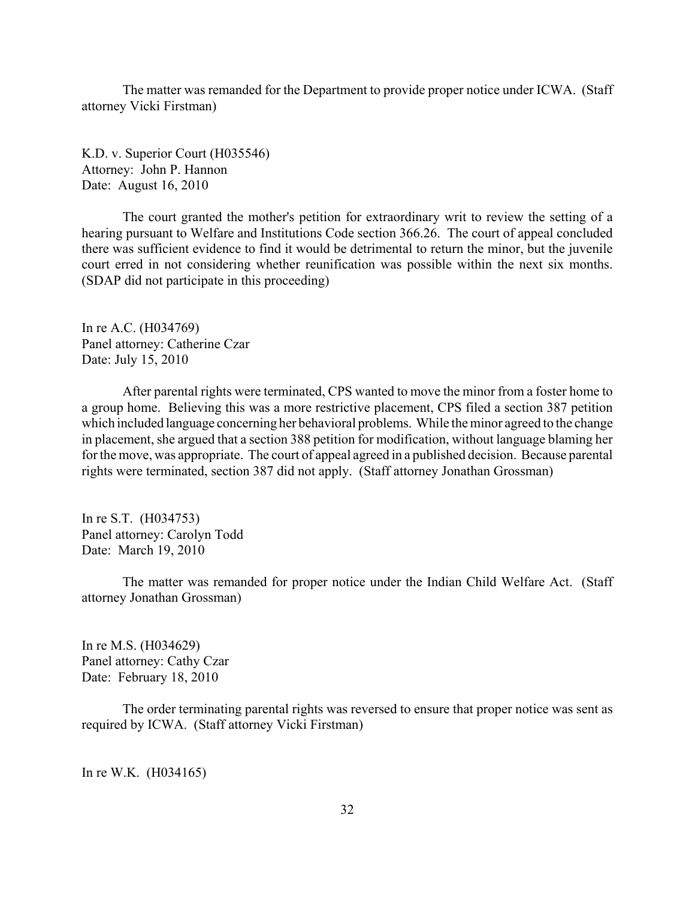The matter was remanded for the Department to provide proper notice under ICWA. (Staff attorney Vicki Firstman)

K.D. v. Superior Court (H035546) Attorney: John P. Hannon Date: August 16, 2010

The court granted the mother's petition for extraordinary writ to review the setting of a hearing pursuant to Welfare and Institutions Code section 366.26. The court of appeal concluded there was sufficient evidence to find it would be detrimental to return the minor, but the juvenile court erred in not considering whether reunification was possible within the next six months. (SDAP did not participate in this proceeding)

In re A.C. (H034769) Panel attorney: Catherine Czar Date: July 15, 2010

After parental rights were terminated, CPS wanted to move the minor from a foster home to a group home. Believing this was a more restrictive placement, CPS filed a section 387 petition which included language concerning her behavioral problems. While the minor agreed to the change in placement, she argued that a section 388 petition for modification, without language blaming her for the move, was appropriate. The court of appeal agreed in a published decision. Because parental rights were terminated, section 387 did not apply. (Staff attorney Jonathan Grossman)

In re S.T. (H034753) Panel attorney: Carolyn Todd Date: March 19, 2010

The matter was remanded for proper notice under the Indian Child Welfare Act. (Staff attorney Jonathan Grossman)

In re M.S. (H034629) Panel attorney: Cathy Czar Date: February 18, 2010

The order terminating parental rights was reversed to ensure that proper notice was sent as required by ICWA. (Staff attorney Vicki Firstman)

In re W.K. (H034165)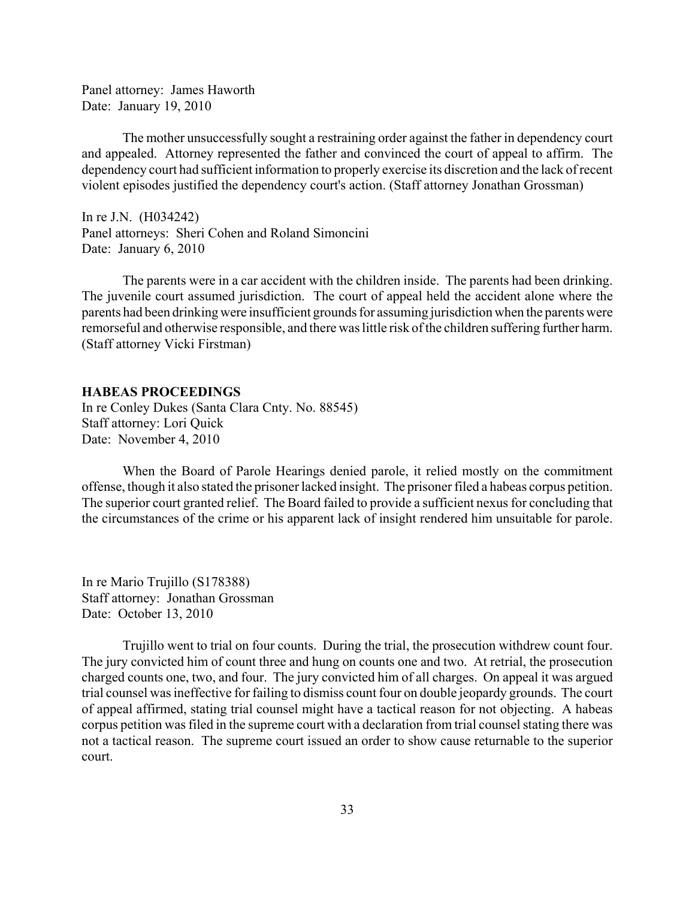<span id="page-32-0"></span>Panel attorney: James Haworth Date: January 19, 2010

The mother unsuccessfully sought a restraining order against the father in dependency court and appealed. Attorney represented the father and convinced the court of appeal to affirm. The dependency court had sufficient information to properly exercise its discretion and the lack of recent violent episodes justified the dependency court's action. (Staff attorney Jonathan Grossman)

In re J.N. (H034242) Panel attorneys: Sheri Cohen and Roland Simoncini Date: January 6, 2010

The parents were in a car accident with the children inside. The parents had been drinking. The juvenile court assumed jurisdiction. The court of appeal held the accident alone where the parents had been drinking were insufficient grounds for assuming jurisdiction when the parents were remorseful and otherwise responsible, and there was little risk of the children suffering further harm. (Staff attorney Vicki Firstman)

#### **HABEAS PROCEEDINGS**

In re Conley Dukes (Santa Clara Cnty. No. 88545) Staff attorney: Lori Quick Date: November 4, 2010

When the Board of Parole Hearings denied parole, it relied mostly on the commitment offense, though it also stated the prisoner lacked insight. The prisoner filed a habeas corpus petition. The superior court granted relief. The Board failed to provide a sufficient nexus for concluding that the circumstances of the crime or his apparent lack of insight rendered him unsuitable for parole.

In re Mario Trujillo (S178388) Staff attorney: Jonathan Grossman Date: October 13, 2010

Trujillo went to trial on four counts. During the trial, the prosecution withdrew count four. The jury convicted him of count three and hung on counts one and two. At retrial, the prosecution charged counts one, two, and four. The jury convicted him of all charges. On appeal it was argued trial counsel was ineffective for failing to dismiss count four on double jeopardy grounds. The court of appeal affirmed, stating trial counsel might have a tactical reason for not objecting. A habeas corpus petition was filed in the supreme court with a declaration from trial counsel stating there was not a tactical reason. The supreme court issued an order to show cause returnable to the superior court.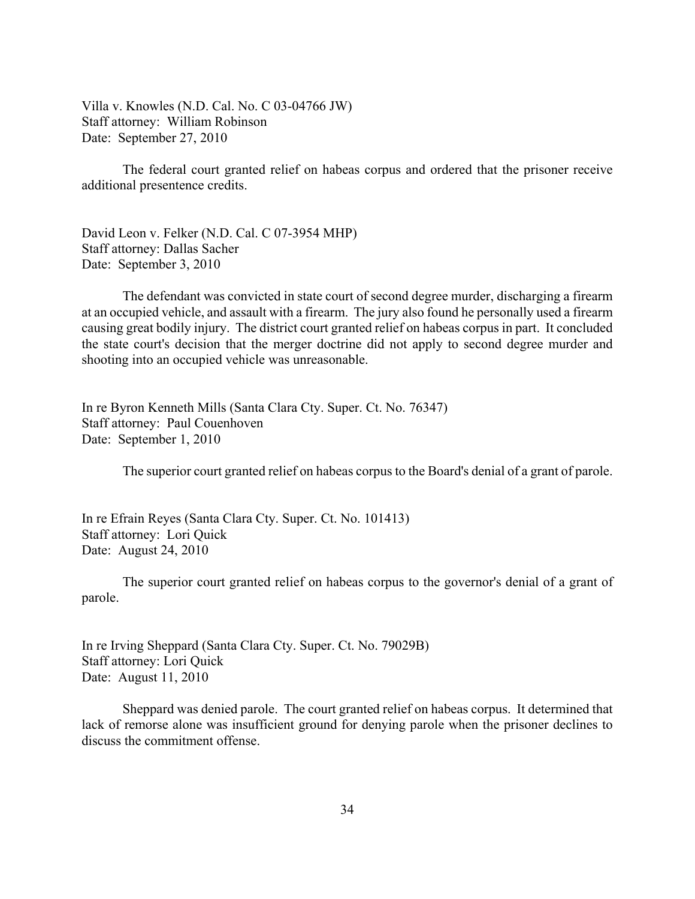Villa v. Knowles (N.D. Cal. No. C 03-04766 JW) Staff attorney: William Robinson Date: September 27, 2010

The federal court granted relief on habeas corpus and ordered that the prisoner receive additional presentence credits.

David Leon v. Felker (N.D. Cal. C 07-3954 MHP) Staff attorney: Dallas Sacher Date: September 3, 2010

The defendant was convicted in state court of second degree murder, discharging a firearm at an occupied vehicle, and assault with a firearm. The jury also found he personally used a firearm causing great bodily injury. The district court granted relief on habeas corpus in part. It concluded the state court's decision that the merger doctrine did not apply to second degree murder and shooting into an occupied vehicle was unreasonable.

In re Byron Kenneth Mills (Santa Clara Cty. Super. Ct. No. 76347) Staff attorney: Paul Couenhoven Date: September 1, 2010

The superior court granted relief on habeas corpus to the Board's denial of a grant of parole.

In re Efrain Reyes (Santa Clara Cty. Super. Ct. No. 101413) Staff attorney: Lori Quick Date: August 24, 2010

The superior court granted relief on habeas corpus to the governor's denial of a grant of parole.

In re Irving Sheppard (Santa Clara Cty. Super. Ct. No. 79029B) Staff attorney: Lori Quick Date: August 11, 2010

Sheppard was denied parole. The court granted relief on habeas corpus. It determined that lack of remorse alone was insufficient ground for denying parole when the prisoner declines to discuss the commitment offense.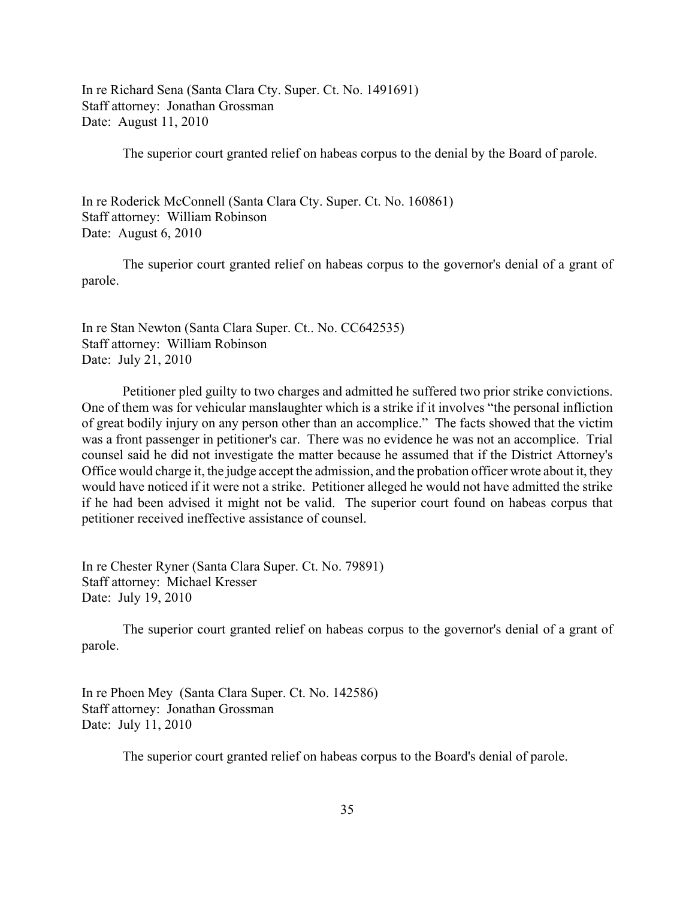In re Richard Sena (Santa Clara Cty. Super. Ct. No. 1491691) Staff attorney: Jonathan Grossman Date: August 11, 2010

The superior court granted relief on habeas corpus to the denial by the Board of parole.

In re Roderick McConnell (Santa Clara Cty. Super. Ct. No. 160861) Staff attorney: William Robinson Date: August 6, 2010

The superior court granted relief on habeas corpus to the governor's denial of a grant of parole.

In re Stan Newton (Santa Clara Super. Ct.. No. CC642535) Staff attorney: William Robinson Date: July 21, 2010

Petitioner pled guilty to two charges and admitted he suffered two prior strike convictions. One of them was for vehicular manslaughter which is a strike if it involves "the personal infliction of great bodily injury on any person other than an accomplice." The facts showed that the victim was a front passenger in petitioner's car. There was no evidence he was not an accomplice. Trial counsel said he did not investigate the matter because he assumed that if the District Attorney's Office would charge it, the judge accept the admission, and the probation officer wrote about it, they would have noticed if it were not a strike. Petitioner alleged he would not have admitted the strike if he had been advised it might not be valid. The superior court found on habeas corpus that petitioner received ineffective assistance of counsel.

In re Chester Ryner (Santa Clara Super. Ct. No. 79891) Staff attorney: Michael Kresser Date: July 19, 2010

The superior court granted relief on habeas corpus to the governor's denial of a grant of parole.

In re Phoen Mey (Santa Clara Super. Ct. No. 142586) Staff attorney: Jonathan Grossman Date: July 11, 2010

The superior court granted relief on habeas corpus to the Board's denial of parole.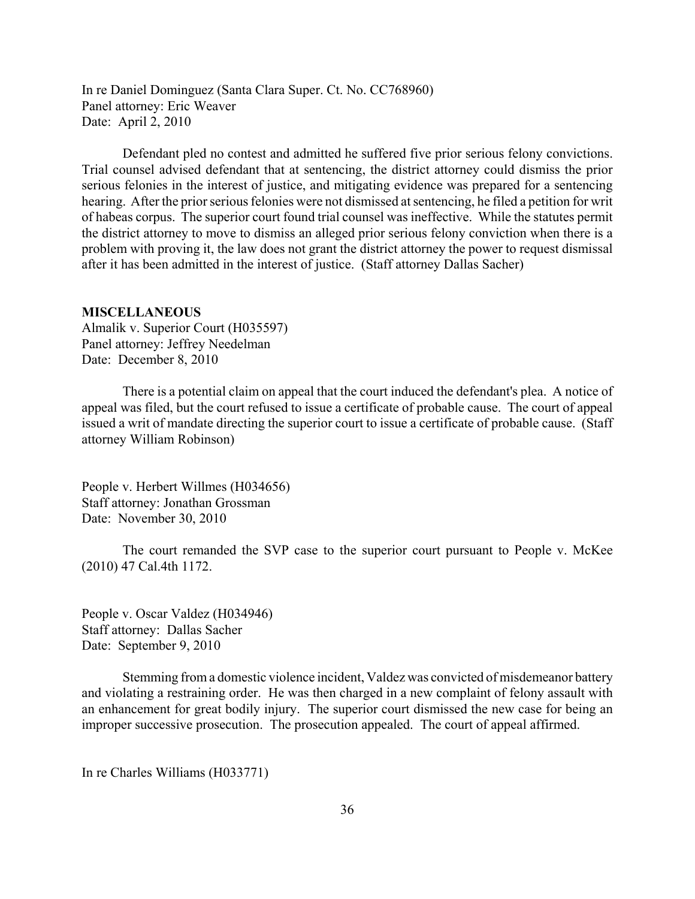<span id="page-35-0"></span>In re Daniel Dominguez (Santa Clara Super. Ct. No. CC768960) Panel attorney: Eric Weaver Date: April 2, 2010

Defendant pled no contest and admitted he suffered five prior serious felony convictions. Trial counsel advised defendant that at sentencing, the district attorney could dismiss the prior serious felonies in the interest of justice, and mitigating evidence was prepared for a sentencing hearing. After the prior serious felonies were not dismissed at sentencing, he filed a petition for writ of habeas corpus. The superior court found trial counsel was ineffective. While the statutes permit the district attorney to move to dismiss an alleged prior serious felony conviction when there is a problem with proving it, the law does not grant the district attorney the power to request dismissal after it has been admitted in the interest of justice. (Staff attorney Dallas Sacher)

#### **MISCELLANEOUS**

Almalik v. Superior Court (H035597) Panel attorney: Jeffrey Needelman Date: December 8, 2010

There is a potential claim on appeal that the court induced the defendant's plea. A notice of appeal was filed, but the court refused to issue a certificate of probable cause. The court of appeal issued a writ of mandate directing the superior court to issue a certificate of probable cause. (Staff attorney William Robinson)

People v. Herbert Willmes (H034656) Staff attorney: Jonathan Grossman Date: November 30, 2010

The court remanded the SVP case to the superior court pursuant to People v. McKee (2010) 47 Cal.4th 1172.

People v. Oscar Valdez (H034946) Staff attorney: Dallas Sacher Date: September 9, 2010

Stemming from a domestic violence incident, Valdez was convicted of misdemeanor battery and violating a restraining order. He was then charged in a new complaint of felony assault with an enhancement for great bodily injury. The superior court dismissed the new case for being an improper successive prosecution. The prosecution appealed. The court of appeal affirmed.

In re Charles Williams (H033771)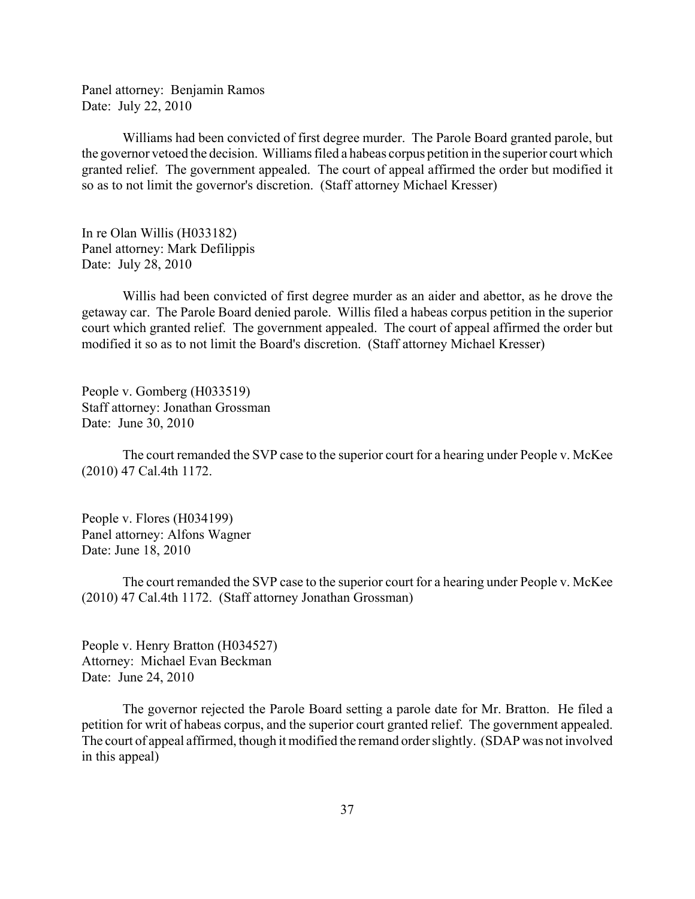Panel attorney: Benjamin Ramos Date: July 22, 2010

Williams had been convicted of first degree murder. The Parole Board granted parole, but the governor vetoed the decision. Williams filed a habeas corpus petition in the superior court which granted relief. The government appealed. The court of appeal affirmed the order but modified it so as to not limit the governor's discretion. (Staff attorney Michael Kresser)

In re Olan Willis (H033182) Panel attorney: Mark Defilippis Date: July 28, 2010

Willis had been convicted of first degree murder as an aider and abettor, as he drove the getaway car. The Parole Board denied parole. Willis filed a habeas corpus petition in the superior court which granted relief. The government appealed. The court of appeal affirmed the order but modified it so as to not limit the Board's discretion. (Staff attorney Michael Kresser)

People v. Gomberg (H033519) Staff attorney: Jonathan Grossman Date: June 30, 2010

The court remanded the SVP case to the superior court for a hearing under People v. McKee (2010) 47 Cal.4th 1172.

People v. Flores (H034199) Panel attorney: Alfons Wagner Date: June 18, 2010

The court remanded the SVP case to the superior court for a hearing under People v. McKee (2010) 47 Cal.4th 1172. (Staff attorney Jonathan Grossman)

People v. Henry Bratton (H034527) Attorney: Michael Evan Beckman Date: June 24, 2010

The governor rejected the Parole Board setting a parole date for Mr. Bratton. He filed a petition for writ of habeas corpus, and the superior court granted relief. The government appealed. The court of appeal affirmed, though it modified the remand order slightly. (SDAP was not involved in this appeal)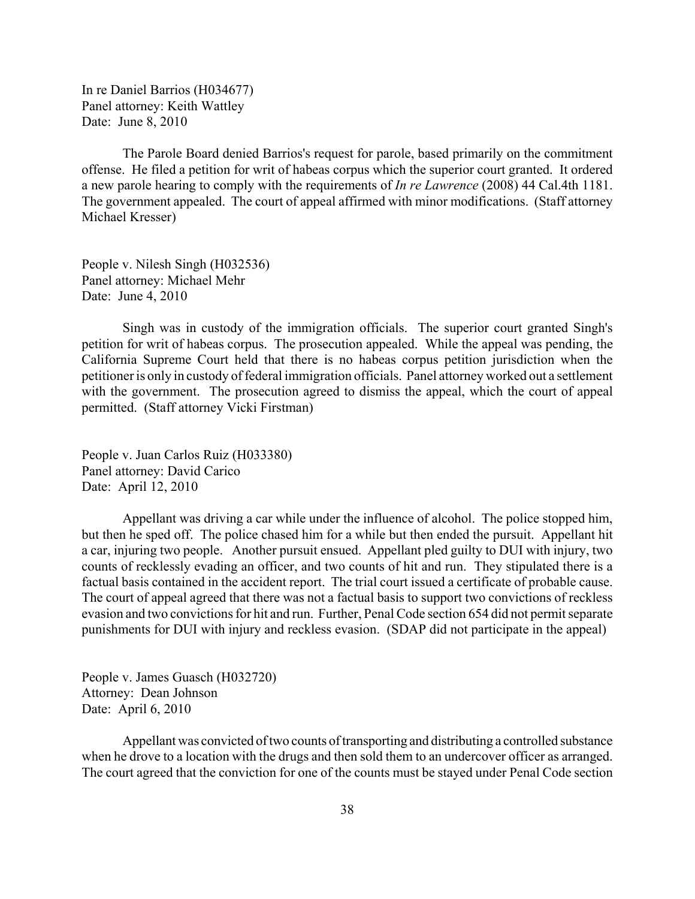In re Daniel Barrios (H034677) Panel attorney: Keith Wattley Date: June 8, 2010

The Parole Board denied Barrios's request for parole, based primarily on the commitment offense. He filed a petition for writ of habeas corpus which the superior court granted. It ordered a new parole hearing to comply with the requirements of *In re Lawrence* (2008) 44 Cal.4th 1181. The government appealed. The court of appeal affirmed with minor modifications. (Staff attorney Michael Kresser)

People v. Nilesh Singh (H032536) Panel attorney: Michael Mehr Date: June 4, 2010

Singh was in custody of the immigration officials. The superior court granted Singh's petition for writ of habeas corpus. The prosecution appealed. While the appeal was pending, the California Supreme Court held that there is no habeas corpus petition jurisdiction when the petitioner is only in custody of federal immigration officials. Panel attorney worked out a settlement with the government. The prosecution agreed to dismiss the appeal, which the court of appeal permitted. (Staff attorney Vicki Firstman)

People v. Juan Carlos Ruiz (H033380) Panel attorney: David Carico Date: April 12, 2010

Appellant was driving a car while under the influence of alcohol. The police stopped him, but then he sped off. The police chased him for a while but then ended the pursuit. Appellant hit a car, injuring two people. Another pursuit ensued. Appellant pled guilty to DUI with injury, two counts of recklessly evading an officer, and two counts of hit and run. They stipulated there is a factual basis contained in the accident report. The trial court issued a certificate of probable cause. The court of appeal agreed that there was not a factual basis to support two convictions of reckless evasion and two convictions for hit and run. Further, Penal Code section 654 did not permit separate punishments for DUI with injury and reckless evasion. (SDAP did not participate in the appeal)

People v. James Guasch (H032720) Attorney: Dean Johnson Date: April 6, 2010

Appellant was convicted of two counts of transporting and distributing a controlled substance when he drove to a location with the drugs and then sold them to an undercover officer as arranged. The court agreed that the conviction for one of the counts must be stayed under Penal Code section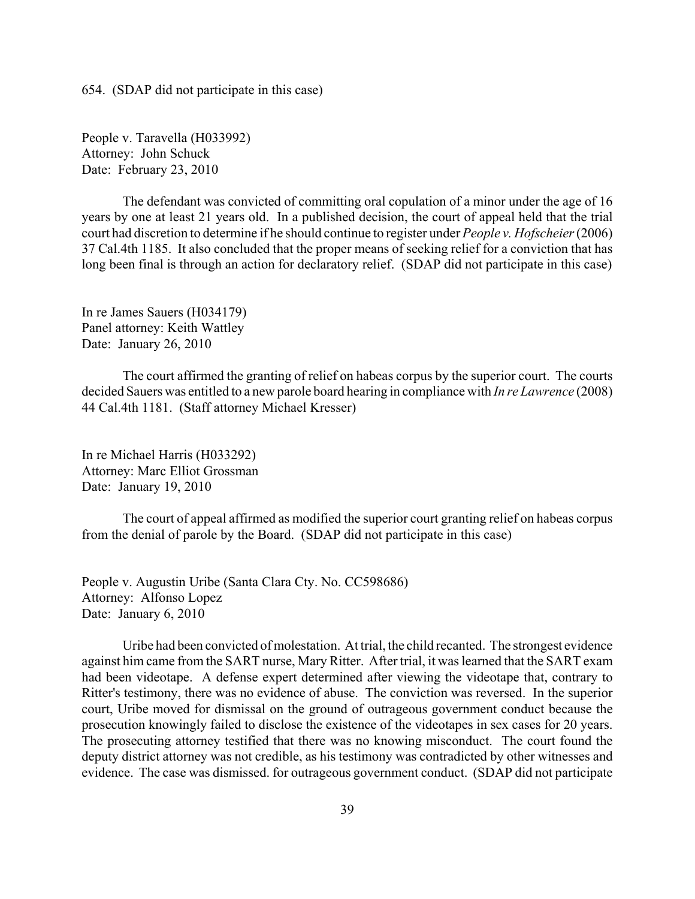654. (SDAP did not participate in this case)

People v. Taravella (H033992) Attorney: John Schuck Date: February 23, 2010

The defendant was convicted of committing oral copulation of a minor under the age of 16 years by one at least 21 years old. In a published decision, the court of appeal held that the trial court had discretion to determine if he should continue to register under *People v. Hofscheier* (2006) 37 Cal.4th 1185. It also concluded that the proper means of seeking relief for a conviction that has long been final is through an action for declaratory relief. (SDAP did not participate in this case)

In re James Sauers (H034179) Panel attorney: Keith Wattley Date: January 26, 2010

The court affirmed the granting of relief on habeas corpus by the superior court. The courts decided Sauers was entitled to a new parole board hearing in compliance with *In re Lawrence* (2008) 44 Cal.4th 1181. (Staff attorney Michael Kresser)

In re Michael Harris (H033292) Attorney: Marc Elliot Grossman Date: January 19, 2010

The court of appeal affirmed as modified the superior court granting relief on habeas corpus from the denial of parole by the Board. (SDAP did not participate in this case)

People v. Augustin Uribe (Santa Clara Cty. No. CC598686) Attorney: Alfonso Lopez Date: January 6, 2010

Uribe had been convicted of molestation. At trial, the child recanted. The strongest evidence against him came from the SART nurse, Mary Ritter. After trial, it was learned that the SART exam had been videotape. A defense expert determined after viewing the videotape that, contrary to Ritter's testimony, there was no evidence of abuse. The conviction was reversed. In the superior court, Uribe moved for dismissal on the ground of outrageous government conduct because the prosecution knowingly failed to disclose the existence of the videotapes in sex cases for 20 years. The prosecuting attorney testified that there was no knowing misconduct. The court found the deputy district attorney was not credible, as his testimony was contradicted by other witnesses and evidence. The case was dismissed. for outrageous government conduct. (SDAP did not participate